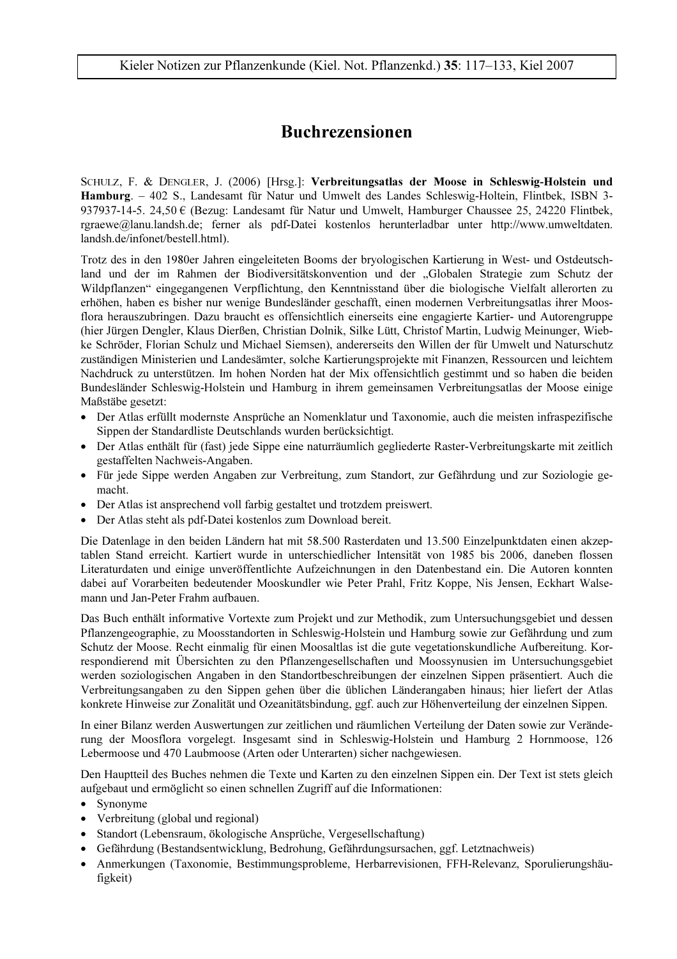# **Buchrezensionen**

SCHULZ, F. & DENGLER, J. (2006) [Hrsg.]: Verbreitungsatlas der Moose in Schleswig-Holstein und Hamburg. - 402 S., Landesamt für Natur und Umwelt des Landes Schleswig-Holtein, Flintbek, ISBN 3-937937-14-5. 24.50  $\epsilon$  (Bezug: Landesamt für Natur und Umwelt, Hamburger Chaussee 25, 24220 Flintbek, rgraewe@lanu.landsh.de; ferner als pdf-Datei kostenlos herunterladbar unter http://www.umweltdaten. landsh.de/infonet/bestell.html).

Trotz des in den 1980er Jahren eingeleiteten Booms der bryologischen Kartierung in West- und Ostdeutschland und der im Rahmen der Biodiversitätskonvention und der "Globalen Strategie zum Schutz der Wildpflanzen" eingegangenen Verpflichtung, den Kenntnisstand über die biologische Vielfalt allerorten zu erhöhen, haben es bisher nur wenige Bundesländer geschafft, einen modernen Verbreitungsatlas ihrer Moosflora herauszubringen. Dazu braucht es offensichtlich einerseits eine engagierte Kartier- und Autorengruppe (hier Jürgen Dengler, Klaus Dierßen, Christian Dolnik, Silke Lütt, Christof Martin, Ludwig Meinunger, Wiebke Schröder, Florian Schulz und Michael Siemsen), andererseits den Willen der für Umwelt und Naturschutz zuständigen Ministerien und Landesämter, solche Kartierungsprojekte mit Finanzen, Ressourcen und leichtem Nachdruck zu unterstützen. Im hohen Norden hat der Mix offensichtlich gestimmt und so haben die beiden Bundesländer Schleswig-Holstein und Hamburg in ihrem gemeinsamen Verbreitungsatlas der Moose einige Maßstäbe gesetzt:

- Der Atlas erfüllt modernste Ansprüche an Nomenklatur und Taxonomie, auch die meisten infraspezifische Sippen der Standardliste Deutschlands wurden berücksichtigt.
- Der Atlas enthält für (fast) jede Sippe eine naturräumlich gegliederte Raster-Verbreitungskarte mit zeitlich gestaffelten Nachweis-Angaben.
- Für jede Sippe werden Angaben zur Verbreitung, zum Standort, zur Gefährdung und zur Soziologie gemacht.
- Der Atlas ist ansprechend voll farbig gestaltet und trotzdem preiswert.
- Der Atlas steht als pdf-Datei kostenlos zum Download bereit.

Die Datenlage in den beiden Ländern hat mit 58.500 Rasterdaten und 13.500 Einzelpunktdaten einen akzeptablen Stand erreicht. Kartiert wurde in unterschiedlicher Intensität von 1985 bis 2006, daneben flossen Literaturdaten und einige unveröffentlichte Aufzeichnungen in den Datenbestand ein. Die Autoren konnten dabei auf Vorarbeiten bedeutender Mooskundler wie Peter Prahl, Fritz Koppe, Nis Jensen, Eckhart Walsemann und Jan-Peter Frahm aufbauen.

Das Buch enthält informative Vortexte zum Projekt und zur Methodik, zum Untersuchungsgebiet und dessen Pflanzengeographie, zu Moosstandorten in Schleswig-Holstein und Hamburg sowie zur Gefährdung und zum Schutz der Moose. Recht einmalig für einen Moosaltlas ist die gute vegetationskundliche Aufbereitung. Korrespondierend mit Übersichten zu den Pflanzengesellschaften und Moossynusien im Untersuchungsgebiet werden soziologischen Angaben in den Standortbeschreibungen der einzelnen Sippen präsentiert. Auch die Verbreitungsangaben zu den Sippen gehen über die üblichen Länderangaben hinaus; hier liefert der Atlas konkrete Hinweise zur Zonalität und Ozeanitätsbindung, ggf. auch zur Höhenverteilung der einzelnen Sippen.

In einer Bilanz werden Auswertungen zur zeitlichen und räumlichen Verteilung der Daten sowie zur Veränderung der Moosflora vorgelegt. Insgesamt sind in Schleswig-Holstein und Hamburg 2 Hornmoose, 126 Lebermoose und 470 Laubmoose (Arten oder Unterarten) sicher nachgewiesen.

Den Hauptteil des Buches nehmen die Texte und Karten zu den einzelnen Sippen ein. Der Text ist stets gleich aufgebaut und ermöglicht so einen schnellen Zugriff auf die Informationen:

- Synonyme
- Verbreitung (global und regional)
- · Standort (Lebensraum, ökologische Ansprüche, Vergesellschaftung)
- Gefährdung (Bestandsentwicklung, Bedrohung, Gefährdungsursachen, ggf. Letztnachweis)
- Anmerkungen (Taxonomie, Bestimmungsprobleme, Herbarrevisionen, FFH-Relevanz, Sporulierungshäufigkeit)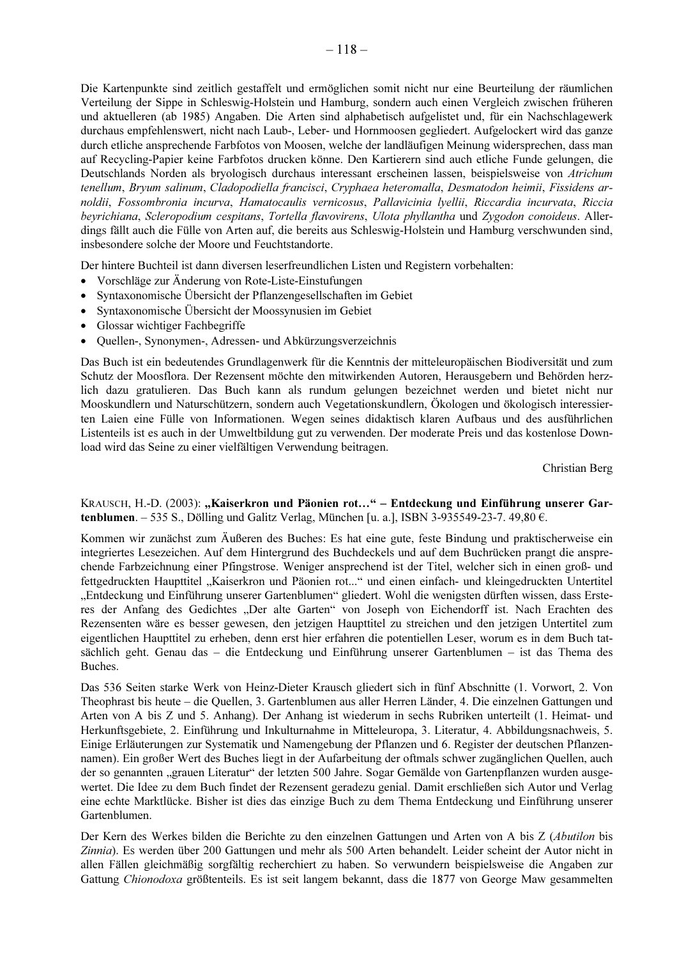Die Kartenpunkte sind zeitlich gestaffelt und ermöglichen somit nicht nur eine Beurteilung der räumlichen Verteilung der Sippe in Schleswig-Holstein und Hamburg, sondern auch einen Vergleich zwischen früheren und aktuelleren (ab 1985) Angaben. Die Arten sind alphabetisch aufgelistet und, für ein Nachschlagewerk durchaus empfehlenswert, nicht nach Laub-, Leber- und Hornmoosen gegliedert. Aufgelockert wird das ganze durch etliche ansprechende Farbfotos von Moosen, welche der landläufigen Meinung widersprechen, dass man auf Recycling-Papier keine Farbfotos drucken könne. Den Kartierern sind auch etliche Funde gelungen, die Deutschlands Norden als bryologisch durchaus interessant erscheinen lassen, beispielsweise von Atrichum tenellum, Bryum salinum, Cladopodiella francisci, Cryphaea heteromalla, Desmatodon heimii, Fissidens arnoldii, Fossombronia incurva, Hamatocaulis vernicosus, Pallavicinia lyellii, Riccardia incurvata, Riccia beyrichiana, Scleropodium cespitans, Tortella flavovirens, Ulota phyllantha und Zygodon conoideus. Allerdings fällt auch die Fülle von Arten auf, die bereits aus Schleswig-Holstein und Hamburg verschwunden sind, insbesondere solche der Moore und Feuchtstandorte.

Der hintere Buchteil ist dann diversen leserfreundlichen Listen und Registern vorbehalten:

- Vorschläge zur Änderung von Rote-Liste-Einstufungen
- Syntaxonomische Übersicht der Pflanzengesellschaften im Gebiet
- Syntaxonomische Übersicht der Moossynusien im Gebiet
- Glossar wichtiger Fachbegriffe
- Quellen-, Synonymen-, Adressen- und Abkürzungsverzeichnis

Das Buch ist ein bedeutendes Grundlagenwerk für die Kenntnis der mitteleuropäischen Biodiversität und zum Schutz der Moosflora. Der Rezensent möchte den mitwirkenden Autoren, Herausgebern und Behörden herzlich dazu gratulieren. Das Buch kann als rundum gelungen bezeichnet werden und bietet nicht nur Mooskundlern und Naturschützern, sondern auch Vegetationskundlern, Ökologen und ökologisch interessierten Laien eine Fülle von Informationen. Wegen seines didaktisch klaren Aufbaus und des ausführlichen Listenteils ist es auch in der Umweltbildung gut zu verwenden. Der moderate Preis und das kostenlose Download wird das Seine zu einer vielfältigen Verwendung beitragen.

Christian Berg

# KRAUSCH, H.-D. (2003): "Kaiserkron und Päonien rot..." - Entdeckung und Einführung unserer Gartenblumen. - 535 S., Dölling und Galitz Verlag, München [u. a.], ISBN 3-935549-23-7. 49,80  $\epsilon$ .

Kommen wir zunächst zum Äußeren des Buches: Es hat eine gute, feste Bindung und praktischerweise ein integriertes Lesezeichen. Auf dem Hintergrund des Buchdeckels und auf dem Buchrücken prangt die ansprechende Farbzeichnung einer Pfingstrose. Weniger ansprechend ist der Titel, welcher sich in einen groß- und fettgedruckten Haupttitel "Kaiserkron und Päonien rot..." und einen einfach- und kleingedruckten Untertitel "Entdeckung und Einführung unserer Gartenblumen" gliedert. Wohl die wenigsten dürften wissen, dass Ersteres der Anfang des Gedichtes "Der alte Garten" von Joseph von Eichendorff ist. Nach Erachten des Rezensenten wäre es besser gewesen, den jetzigen Haupttitel zu streichen und den jetzigen Untertitel zum eigentlichen Haupttitel zu erheben, denn erst hier erfahren die potentiellen Leser, worum es in dem Buch tatsächlich geht. Genau das – die Entdeckung und Einführung unserer Gartenblumen – ist das Thema des Buches.

Das 536 Seiten starke Werk von Heinz-Dieter Krausch gliedert sich in fünf Abschnitte (1. Vorwort, 2. Von Theophrast bis heute - die Quellen, 3. Gartenblumen aus aller Herren Länder, 4. Die einzelnen Gattungen und Arten von A bis Z und 5. Anhang). Der Anhang ist wiederum in sechs Rubriken unterteilt (1. Heimat- und Herkunftsgebiete, 2. Einführung und Inkulturnahme in Mitteleuropa, 3. Literatur, 4. Abbildungsnachweis, 5. Einige Erläuterungen zur Systematik und Namengebung der Pflanzen und 6. Register der deutschen Pflanzennamen). Ein großer Wert des Buches liegt in der Aufarbeitung der oftmals schwer zugänglichen Quellen, auch der so genannten "grauen Literatur" der letzten 500 Jahre. Sogar Gemälde von Gartenpflanzen wurden ausgewertet. Die Idee zu dem Buch findet der Rezensent geradezu genial. Damit erschließen sich Autor und Verlag eine echte Marktlücke. Bisher ist dies das einzige Buch zu dem Thema Entdeckung und Einführung unserer Gartenblumen.

Der Kern des Werkes bilden die Berichte zu den einzelnen Gattungen und Arten von A bis Z (Abutilon bis Zinnia). Es werden über 200 Gattungen und mehr als 500 Arten behandelt. Leider scheint der Autor nicht in allen Fällen gleichmäßig sorgfältig recherchiert zu haben. So verwundern beispielsweise die Angaben zur Gattung Chionodoxa größtenteils. Es ist seit langem bekannt, dass die 1877 von George Maw gesammelten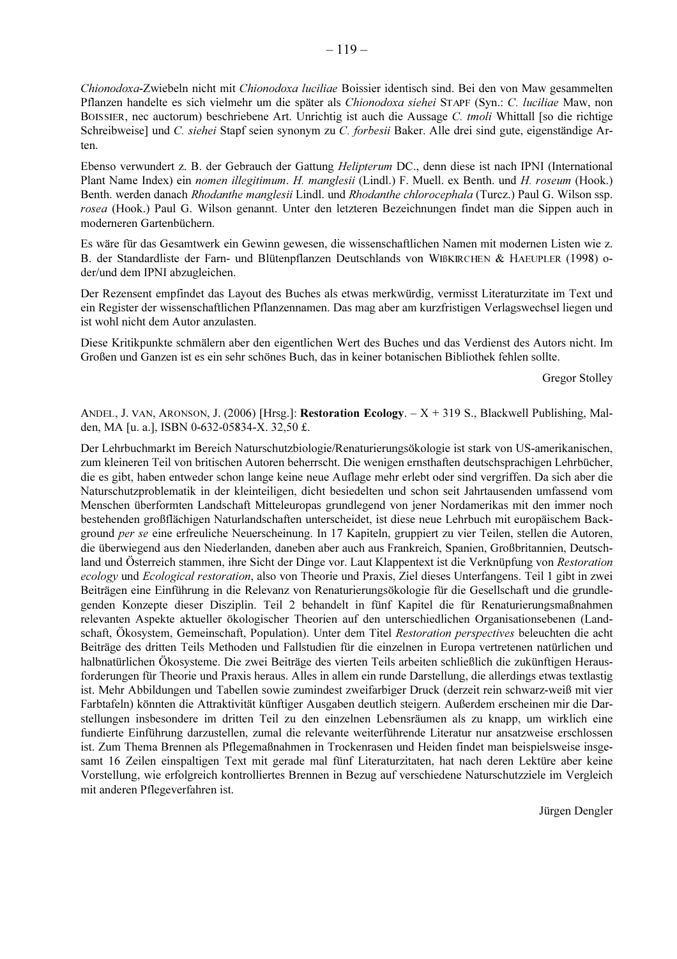Chionodoxa-Zwiebeln nicht mit Chionodoxa luciliae Boissier identisch sind. Bei den von Maw gesammelten Pflanzen handelte es sich vielmehr um die später als Chionodoxa siehei STAPF (Syn.: C. luciliae Maw, non BOISSIER, nec auctorum) beschriebene Art. Unrichtig ist auch die Aussage C. tmoli Whittall [so die richtige Schreibweise] und C. siehei Stapf seien synonym zu C. forbesii Baker. Alle drei sind gute, eigenständige Arten.

Ebenso verwundert z. B. der Gebrauch der Gattung Helipterum DC., denn diese ist nach IPNI (International Plant Name Index) ein nomen illegitimum. H. manglesii (Lindl.) F. Muell. ex Benth. und H. roseum (Hook.) Benth, werden danach *Rhodanthe manglesii* Lindl, und *Rhodanthe chlorocephala* (Turcz.) Paul G. Wilson ssp. rosea (Hook.) Paul G. Wilson genannt. Unter den letzteren Bezeichnungen findet man die Sippen auch in moderneren Gartenbüchern.

Es wäre für das Gesamtwerk ein Gewinn gewesen, die wissenschaftlichen Namen mit modernen Listen wie z. B. der Standardliste der Farn- und Blütenpflanzen Deutschlands von WIBKIRCHEN & HAEUPLER (1998) oder/und dem IPNI abzugleichen.

Der Rezensent empfindet das Layout des Buches als etwas merkwürdig, vermisst Literaturzitate im Text und ein Register der wissenschaftlichen Pflanzennamen. Das mag aber am kurzfristigen Verlagswechsel liegen und ist wohl nicht dem Autor anzulasten.

Diese Kritikpunkte schmälern aber den eigentlichen Wert des Buches und das Verdienst des Autors nicht. Im Großen und Ganzen ist es ein sehr schönes Buch, das in keiner botanischen Bibliothek fehlen sollte.

Gregor Stolley

ANDEL, J. VAN, ARONSON, J. (2006) [Hrsg.]: Restoration Ecology.  $-X + 319$  S., Blackwell Publishing, Malden, MA [u. a.], ISBN 0-632-05834-X. 32,50 £.

Der Lehrbuchmarkt im Bereich Naturschutzbiologie/Renaturierungsökologie ist stark von US-amerikanischen, zum kleineren Teil von britischen Autoren beherrscht. Die wenigen ernsthaften deutschsprachigen Lehrbücher, die es gibt, haben entweder schon lange keine neue Auflage mehr erlebt oder sind vergriffen. Da sich aber die Naturschutzproblematik in der kleinteiligen, dicht besiedelten und schon seit Jahrtausenden umfassend vom Menschen überformten Landschaft Mitteleuropas grundlegend von jener Nordamerikas mit den immer noch bestehenden großflächigen Naturlandschaften unterscheidet, ist diese neue Lehrbuch mit europäischem Background per se eine erfreuliche Neuerscheinung. In 17 Kapiteln, gruppiert zu vier Teilen, stellen die Autoren, die überwiegend aus den Niederlanden, daneben aber auch aus Frankreich, Spanien, Großbritannien, Deutschland und Österreich stammen, ihre Sicht der Dinge vor. Laut Klappentext ist die Verknüpfung von Restoration ecology und Ecological restoration, also von Theorie und Praxis, Ziel dieses Unterfangens. Teil 1 gibt in zwei Beiträgen eine Einführung in die Relevanz von Renaturierungsökologie für die Gesellschaft und die grundlegenden Konzepte dieser Disziplin. Teil 2 behandelt in fünf Kapitel die für Renaturierungsmaßnahmen relevanten Aspekte aktueller ökologischer Theorien auf den unterschiedlichen Organisationsebenen (Landschaft, Ökosystem, Gemeinschaft, Population). Unter dem Titel Restoration perspectives beleuchten die acht Beiträge des dritten Teils Methoden und Fallstudien für die einzelnen in Europa vertretenen natürlichen und halbnatürlichen Ökosysteme. Die zwei Beiträge des vierten Teils arbeiten schließlich die zukünftigen Herausforderungen für Theorie und Praxis heraus. Alles in allem ein runde Darstellung, die allerdings etwas textlastig ist. Mehr Abbildungen und Tabellen sowie zumindest zweifarbiger Druck (derzeit rein schwarz-weiß mit vier Farbtafeln) könnten die Attraktivität künftiger Ausgaben deutlich steigern. Außerdem erscheinen mir die Darstellungen insbesondere im dritten Teil zu den einzelnen Lebensräumen als zu knapp, um wirklich eine fundierte Einführung darzustellen, zumal die relevante weiterführende Literatur nur ansatzweise erschlossen ist. Zum Thema Brennen als Pflegemaßnahmen in Trockenrasen und Heiden findet man beispielsweise insgesamt 16 Zeilen einspaltigen Text mit gerade mal fünf Literaturzitaten, hat nach deren Lektüre aber keine Vorstellung, wie erfolgreich kontrolliertes Brennen in Bezug auf verschiedene Naturschutzziele im Vergleich mit anderen Pflegeverfahren ist.

Jürgen Dengler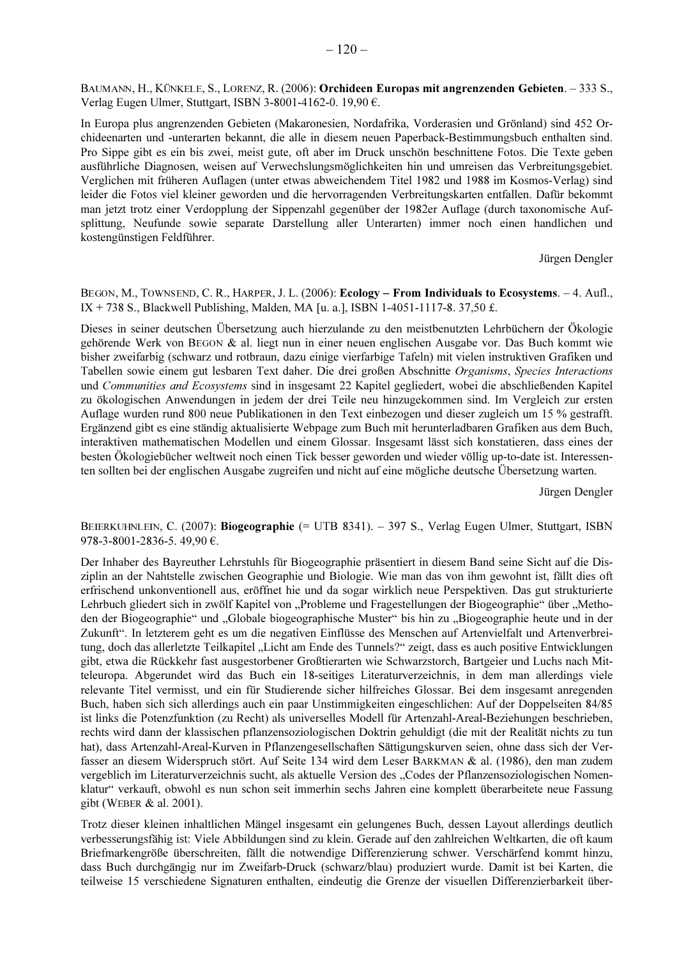BAUMANN, H., KÜNKELE, S., LORENZ, R. (2006): Orchideen Europas mit angrenzenden Gebieten. - 333 S., Verlag Eugen Ulmer, Stuttgart, ISBN 3-8001-4162-0. 19,90 €.

In Europa plus angrenzenden Gebieten (Makaronesien, Nordafrika, Vorderasien und Grönland) sind 452 Orchideenarten und -unterarten bekannt, die alle in diesem neuen Paperback-Bestimmungsbuch enthalten sind. Pro Sippe gibt es ein bis zwei, meist gute, oft aber im Druck unschön beschnittene Fotos. Die Texte geben ausführliche Diagnosen, weisen auf Verwechslungsmöglichkeiten hin und umreisen das Verbreitungsgebiet. Verglichen mit früheren Auflagen (unter etwas abweichendem Titel 1982 und 1988 im Kosmos-Verlag) sind leider die Fotos viel kleiner geworden und die hervorragenden Verbreitungskarten entfallen. Dafür bekommt man jetzt trotz einer Verdopplung der Sippenzahl gegenüber der 1982er Auflage (durch taxonomische Aufsplittung, Neufunde sowie separate Darstellung aller Unterarten) immer noch einen handlichen und kostengünstigen Feldführer.

Jürgen Dengler

BEGON, M., TOWNSEND, C. R., HARPER, J. L. (2006): Ecology – From Individuals to Ecosystems. – 4. Aufl., IX + 738 S., Blackwell Publishing, Malden, MA [u. a.], ISBN 1-4051-1117-8. 37,50 £.

Dieses in seiner deutschen Übersetzung auch hierzulande zu den meistbenutzten Lehrbüchern der Ökologie gehörende Werk von BEGON & al. liegt nun in einer neuen englischen Ausgabe vor. Das Buch kommt wie bisher zweifarbig (schwarz und rotbraun, dazu einige vierfarbige Tafeln) mit vielen instruktiven Grafiken und Tabellen sowie einem gut lesbaren Text daher. Die drei großen Abschnitte Organisms, Species Interactions und Communities and Ecosystems sind in insgesamt 22 Kapitel gegliedert, wobei die abschließenden Kapitel zu ökologischen Anwendungen in jedem der drei Teile neu hinzugekommen sind. Im Vergleich zur ersten Auflage wurden rund 800 neue Publikationen in den Text einbezogen und dieser zugleich um 15 % gestrafft. Ergänzend gibt es eine ständig aktualisierte Webpage zum Buch mit herunterladbaren Grafiken aus dem Buch, interaktiven mathematischen Modellen und einem Glossar. Insgesamt lässt sich konstatieren, dass eines der besten Ökologiebücher weltweit noch einen Tick besser geworden und wieder völlig up-to-date ist. Interessenten sollten bei der englischen Ausgabe zugreifen und nicht auf eine mögliche deutsche Übersetzung warten.

Jürgen Dengler

BEIERKUHNLEIN, C. (2007): Biogeographie (= UTB 8341). - 397 S., Verlag Eugen Ulmer, Stuttgart, ISBN 978-3-8001-2836-5.49,90 €.

Der Inhaber des Bayreuther Lehrstuhls für Biogeographie präsentiert in diesem Band seine Sicht auf die Disziplin an der Nahtstelle zwischen Geographie und Biologie. Wie man das von ihm gewohnt ist, fällt dies oft erfrischend unkonventionell aus, eröffnet hie und da sogar wirklich neue Perspektiven. Das gut strukturierte Lehrbuch gliedert sich in zwölf Kapitel von "Probleme und Fragestellungen der Biogeographie" über "Methoden der Biogeographie" und "Globale biogeographische Muster" bis hin zu "Biogeographie heute und in der Zukunft". In letzterem geht es um die negativen Einflüsse des Menschen auf Artenvielfalt und Artenverbreitung, doch das allerletzte Teilkapitel "Licht am Ende des Tunnels?" zeigt, dass es auch positive Entwicklungen gibt, etwa die Rückkehr fast ausgestorbener Großtierarten wie Schwarzstorch, Bartgeier und Luchs nach Mitteleuropa. Abgerundet wird das Buch ein 18-seitiges Literaturverzeichnis, in dem man allerdings viele relevante Titel vermisst, und ein für Studierende sicher hilfreiches Glossar. Bei dem insgesamt anregenden Buch, haben sich sich allerdings auch ein paar Unstimmigkeiten eingeschlichen: Auf der Doppelseiten 84/85 ist links die Potenzfunktion (zu Recht) als universelles Modell für Artenzahl-Areal-Beziehungen beschrieben, rechts wird dann der klassischen pflanzensoziologischen Doktrin gehuldigt (die mit der Realität nichts zu tun hat), dass Artenzahl-Areal-Kurven in Pflanzengesellschaften Sättigungskurven seien, ohne dass sich der Verfasser an diesem Widerspruch stört. Auf Seite 134 wird dem Leser BARKMAN & al. (1986), den man zudem vergeblich im Literaturverzeichnis sucht, als aktuelle Version des "Codes der Pflanzensoziologischen Nomenklatur" verkauft, obwohl es nun schon seit immerhin sechs Jahren eine komplett überarbeitete neue Fassung gibt (WEBER & al. 2001).

Trotz dieser kleinen inhaltlichen Mängel insgesamt ein gelungenes Buch, dessen Layout allerdings deutlich verbesserungsfähig ist: Viele Abbildungen sind zu klein. Gerade auf den zahlreichen Weltkarten, die oft kaum Briefmarkengröße überschreiten, fällt die notwendige Differenzierung schwer. Verschärfend kommt hinzu, dass Buch durchgängig nur im Zweifarb-Druck (schwarz/blau) produziert wurde. Damit ist bei Karten, die teilweise 15 verschiedene Signaturen enthalten, eindeutig die Grenze der visuellen Differenzierbarkeit über-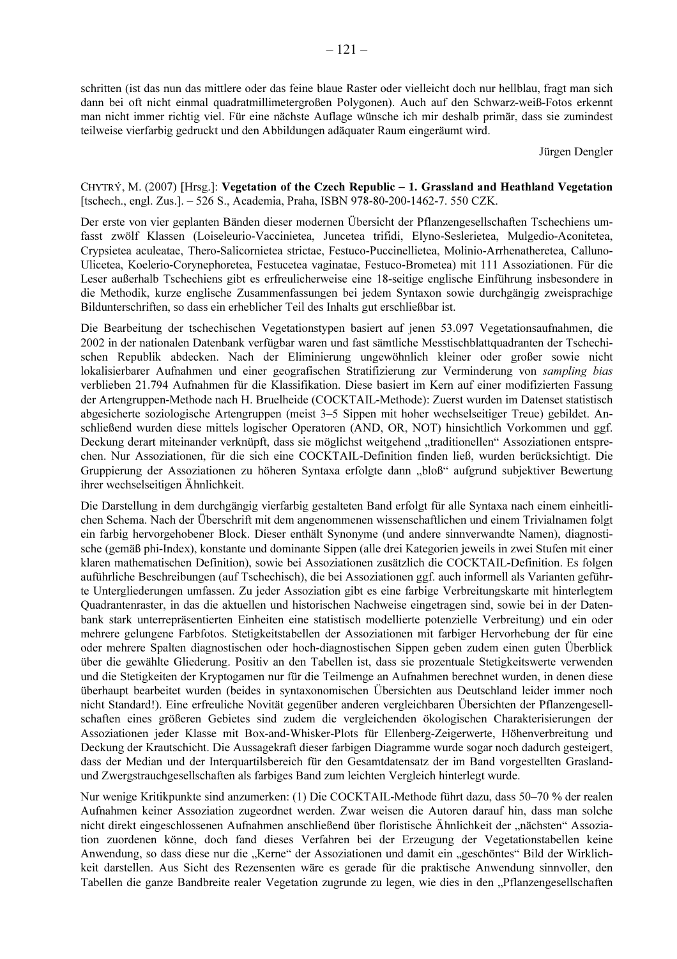schritten (ist das nun das mittlere oder das feine blaue Raster oder vielleicht doch nur hellblau, fragt man sich dann bei oft nicht einmal quadratmillimetergroßen Polygonen). Auch auf den Schwarz-weiß-Fotos erkennt man nicht immer richtig viel. Für eine nächste Auflage wünsche ich mir deshalb primär, dass sie zumindest teilweise vierfarbig gedruckt und den Abbildungen adäquater Raum eingeräumt wird.

Jürgen Dengler

#### CHYTRÝ, M. (2007) [Hrsg.]: Vegetation of the Czech Republic – 1. Grassland and Heathland Vegetation [tschech., engl. Zus.]. - 526 S., Academia, Praha, ISBN 978-80-200-1462-7. 550 CZK.

Der erste von vier geplanten Bänden dieser modernen Übersicht der Pflanzengesellschaften Tschechiens umfasst zwölf Klassen (Loiseleurio-Vaccinietea, Juncetea trifidi, Elyno-Seslerietea, Mulgedio-Aconitetea, Crypsietea aculeatae, Thero-Salicornietea strictae, Festuco-Puccinellietea, Molinio-Arrhenatheretea, Calluno-Ulicetea, Koelerio-Corynephoretea, Festucetea vaginatae, Festuco-Brometea) mit 111 Assoziationen. Für die Leser außerhalb Tschechiens gibt es erfreulicherweise eine 18-seitige englische Einführung insbesondere in die Methodik, kurze englische Zusammenfassungen bei jedem Syntaxon sowie durchgängig zweisprachige Bildunterschriften, so dass ein erheblicher Teil des Inhalts gut erschließbar ist.

Die Bearbeitung der tschechischen Vegetationstypen basiert auf jenen 53.097 Vegetationsaufnahmen, die 2002 in der nationalen Datenbank verfügbar waren und fast sämtliche Messtischblattquadranten der Tschechischen Republik abdecken. Nach der Eliminierung ungewöhnlich kleiner oder großer sowie nicht lokalisierbarer Aufnahmen und einer geografischen Stratifizierung zur Verminderung von sampling bias verblieben 21.794 Aufnahmen für die Klassifikation. Diese basiert im Kern auf einer modifizierten Fassung der Artengruppen-Methode nach H. Bruelheide (COCKTAIL-Methode): Zuerst wurden im Datenset statistisch abgesicherte soziologische Artengruppen (meist 3–5 Sippen mit hoher wechselseitiger Treue) gebildet. Anschließend wurden diese mittels logischer Operatoren (AND, OR, NOT) hinsichtlich Vorkommen und ggf. Deckung derart miteinander verknüpft, dass sie möglichst weitgehend "traditionellen" Assoziationen entsprechen. Nur Assoziationen, für die sich eine COCKTAIL-Definition finden ließ, wurden berücksichtigt. Die Gruppierung der Assoziationen zu höheren Syntaxa erfolgte dann "bloß" aufgrund subjektiver Bewertung ihrer wechselseitigen Ähnlichkeit.

Die Darstellung in dem durchgängig vierfarbig gestalteten Band erfolgt für alle Syntaxa nach einem einheitlichen Schema. Nach der Überschrift mit dem angenommenen wissenschaftlichen und einem Trivialnamen folgt ein farbig hervorgehobener Block. Dieser enthält Synonyme (und andere sinnverwandte Namen), diagnostische (gemäß phi-Index), konstante und dominante Sippen (alle drei Kategorien jeweils in zwei Stufen mit einer klaren mathematischen Definition), sowie bei Assoziationen zusätzlich die COCKTAIL-Definition. Es folgen auführliche Beschreibungen (auf Tschechisch), die bei Assoziationen ggf. auch informell als Varianten geführte Untergliederungen umfassen. Zu jeder Assoziation gibt es eine farbige Verbreitungskarte mit hinterlegtem Quadrantenraster, in das die aktuellen und historischen Nachweise eingetragen sind, sowie bei in der Datenbank stark unterrepräsentierten Einheiten eine statistisch modellierte potenzielle Verbreitung) und ein oder mehrere gelungene Farbfotos. Stetigkeitstabellen der Assoziationen mit farbiger Hervorhebung der für eine oder mehrere Spalten diagnostischen oder hoch-diagnostischen Sippen geben zudem einen guten Überblick über die gewählte Gliederung. Positiv an den Tabellen ist, dass sie prozentuale Stetigkeitswerte verwenden und die Stetigkeiten der Kryptogamen nur für die Teilmenge an Aufnahmen berechnet wurden, in denen diese überhaupt bearbeitet wurden (beides in syntaxonomischen Übersichten aus Deutschland leider immer noch nicht Standard!). Eine erfreuliche Novität gegenüber anderen vergleichbaren Übersichten der Pflanzengesellschaften eines größeren Gebietes sind zudem die vergleichenden ökologischen Charakterisierungen der Assoziationen jeder Klasse mit Box-and-Whisker-Plots für Ellenberg-Zeigerwerte, Höhenverbreitung und Deckung der Krautschicht. Die Aussagekraft dieser farbigen Diagramme wurde sogar noch dadurch gesteigert, dass der Median und der Interquartilsbereich für den Gesamtdatensatz der im Band vorgestellten Graslandund Zwergstrauchgesellschaften als farbiges Band zum leichten Vergleich hinterlegt wurde.

Nur wenige Kritikpunkte sind anzumerken: (1) Die COCKTAIL-Methode führt dazu, dass 50–70 % der realen Aufnahmen keiner Assoziation zugeordnet werden. Zwar weisen die Autoren darauf hin, dass man solche nicht direkt eingeschlossenen Aufnahmen anschließend über floristische Ähnlichkeit der "nächsten" Assoziation zuordenen könne, doch fand dieses Verfahren bei der Erzeugung der Vegetationstabellen keine Anwendung, so dass diese nur die "Kerne" der Assoziationen und damit ein "geschöntes" Bild der Wirklichkeit darstellen. Aus Sicht des Rezensenten wäre es gerade für die praktische Anwendung sinnvoller, den Tabellen die ganze Bandbreite realer Vegetation zugrunde zu legen, wie dies in den "Pflanzengesellschaften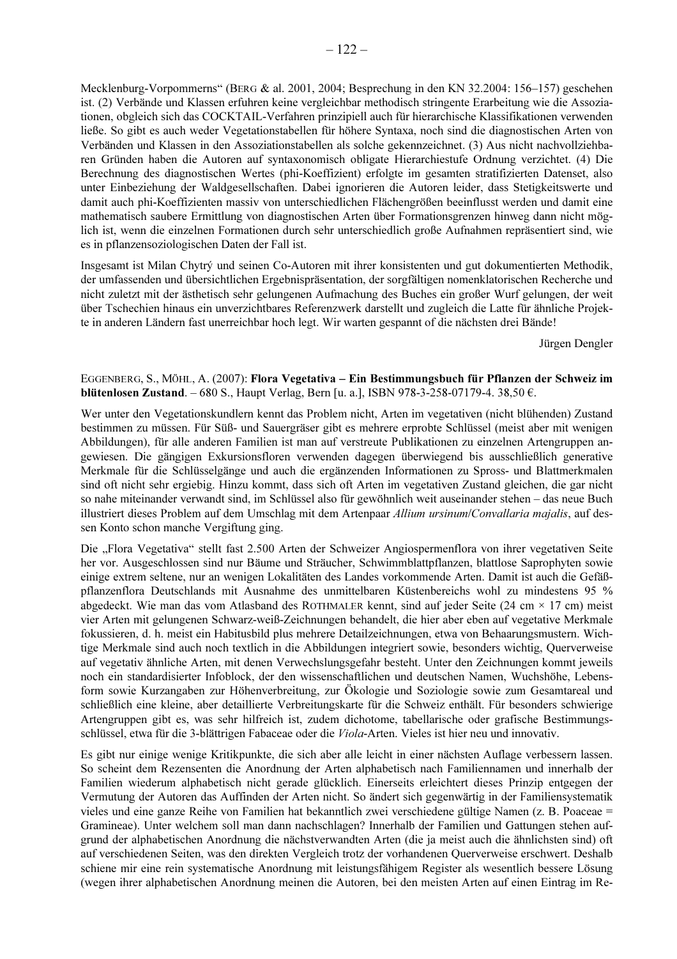Mecklenburg-Vorpommerns" (BERG & al. 2001, 2004; Besprechung in den KN 32.2004: 156-157) geschehen ist. (2) Verbände und Klassen erfuhren keine vergleichbar methodisch stringente Erarbeitung wie die Assoziationen, obgleich sich das COCKTAIL-Verfahren prinzipiell auch für hierarchische Klassifikationen verwenden ließe. So gibt es auch weder Vegetationstabellen für höhere Syntaxa, noch sind die diagnostischen Arten von Verbänden und Klassen in den Assoziationstabellen als solche gekennzeichnet. (3) Aus nicht nachvollziehbaren Gründen haben die Autoren auf syntaxonomisch obligate Hierarchiestufe Ordnung verzichtet. (4) Die Berechnung des diagnostischen Wertes (phi-Koeffizient) erfolgte im gesamten stratifizierten Datenset, also unter Einbeziehung der Waldgesellschaften. Dabei ignorieren die Autoren leider, dass Stetigkeitswerte und damit auch phi-Koeffizienten massiv von unterschiedlichen Flächengrößen beeinflusst werden und damit eine mathematisch saubere Ermittlung von diagnostischen Arten über Formationsgrenzen hinweg dann nicht möglich ist, wenn die einzelnen Formationen durch sehr unterschiedlich große Aufnahmen repräsentiert sind, wie es in pflanzensoziologischen Daten der Fall ist.

Insgesamt ist Milan Chytrý und seinen Co-Autoren mit ihrer konsistenten und gut dokumentierten Methodik, der umfassenden und übersichtlichen Ergebnispräsentation, der sorgfältigen nomenklatorischen Recherche und nicht zuletzt mit der ästhetisch sehr gelungenen Aufmachung des Buches ein großer Wurf gelungen, der weit über Tschechien hinaus ein unverzichtbares Referenzwerk darstellt und zugleich die Latte für ähnliche Projekte in anderen Ländern fast unerreichbar hoch legt. Wir warten gespannt of die nächsten drei Bände!

Jürgen Dengler

EGGENBERG, S., MÖHL, A. (2007): Flora Vegetativa – Ein Bestimmungsbuch für Pflanzen der Schweiz im **blütenlosen Zustand.** -680 S., Haupt Verlag, Bern [u. a.], ISBN 978-3-258-07179-4. 38,50 €.

Wer unter den Vegetationskundlern kennt das Problem nicht, Arten im vegetativen (nicht blühenden) Zustand bestimmen zu müssen. Für Süß- und Sauergräser gibt es mehrere erprobte Schlüssel (meist aber mit wenigen Abbildungen), für alle anderen Familien ist man auf verstreute Publikationen zu einzelnen Artengruppen angewiesen. Die gängigen Exkursionsfloren verwenden dagegen überwiegend bis ausschließlich generative Merkmale für die Schlüsselgänge und auch die ergänzenden Informationen zu Spross- und Blattmerkmalen sind oft nicht sehr ergiebig. Hinzu kommt, dass sich oft Arten im vegetativen Zustand gleichen, die gar nicht so nahe miteinander verwandt sind, im Schlüssel also für gewöhnlich weit auseinander stehen – das neue Buch illustriert dieses Problem auf dem Umschlag mit dem Artenpaar Allium ursinum/Convallaria majalis, auf dessen Konto schon manche Vergiftung ging.

Die "Flora Vegetativa" stellt fast 2.500 Arten der Schweizer Angiospermenflora von ihrer vegetativen Seite her vor. Ausgeschlossen sind nur Bäume und Sträucher, Schwimmblattpflanzen, blattlose Saprophyten sowie einige extrem seltene, nur an wenigen Lokalitäten des Landes vorkommende Arten. Damit ist auch die Gefäßpflanzenflora Deutschlands mit Ausnahme des unmittelbaren Küstenbereichs wohl zu mindestens 95 % abgedeckt. Wie man das vom Atlasband des ROTHMALER kennt, sind auf jeder Seite (24 cm  $\times$  17 cm) meist vier Arten mit gelungenen Schwarz-weiß-Zeichnungen behandelt, die hier aber eben auf vegetative Merkmale fokussieren, d. h. meist ein Habitusbild plus mehrere Detailzeichnungen, etwa von Behaarungsmustern. Wichtige Merkmale sind auch noch textlich in die Abbildungen integriert sowie, besonders wichtig, Querverweise auf vegetativ ähnliche Arten, mit denen Verwechslungsgefahr besteht. Unter den Zeichnungen kommt jeweils noch ein standardisierter Infoblock, der den wissenschaftlichen und deutschen Namen, Wuchshöhe, Lebensform sowie Kurzangaben zur Höhenverbreitung, zur Ökologie und Soziologie sowie zum Gesamtareal und schließlich eine kleine, aber detaillierte Verbreitungskarte für die Schweiz enthält. Für besonders schwierige Artengruppen gibt es, was sehr hilfreich ist, zudem dichotome, tabellarische oder grafische Bestimmungsschlüssel, etwa für die 3-blättrigen Fabaceae oder die Viola-Arten. Vieles ist hier neu und innovativ.

Es gibt nur einige wenige Kritikpunkte, die sich aber alle leicht in einer nächsten Auflage verbessern lassen. So scheint dem Rezensenten die Anordnung der Arten alphabetisch nach Familiennamen und innerhalb der Familien wiederum alphabetisch nicht gerade glücklich. Einerseits erleichtert dieses Prinzip entgegen der Vermutung der Autoren das Auffinden der Arten nicht. So ändert sich gegenwärtig in der Familiensystematik vieles und eine ganze Reihe von Familien hat bekanntlich zwei verschiedene gültige Namen (z. B. Poaceae = Gramineae). Unter welchem soll man dann nachschlagen? Innerhalb der Familien und Gattungen stehen aufgrund der alphabetischen Anordnung die nächstverwandten Arten (die ja meist auch die ähnlichsten sind) oft auf verschiedenen Seiten, was den direkten Vergleich trotz der vorhandenen Querverweise erschwert. Deshalb schiene mir eine rein systematische Anordnung mit leistungsfähigem Register als wesentlich bessere Lösung (wegen ihrer alphabetischen Anordnung meinen die Autoren, bei den meisten Arten auf einen Eintrag im Re-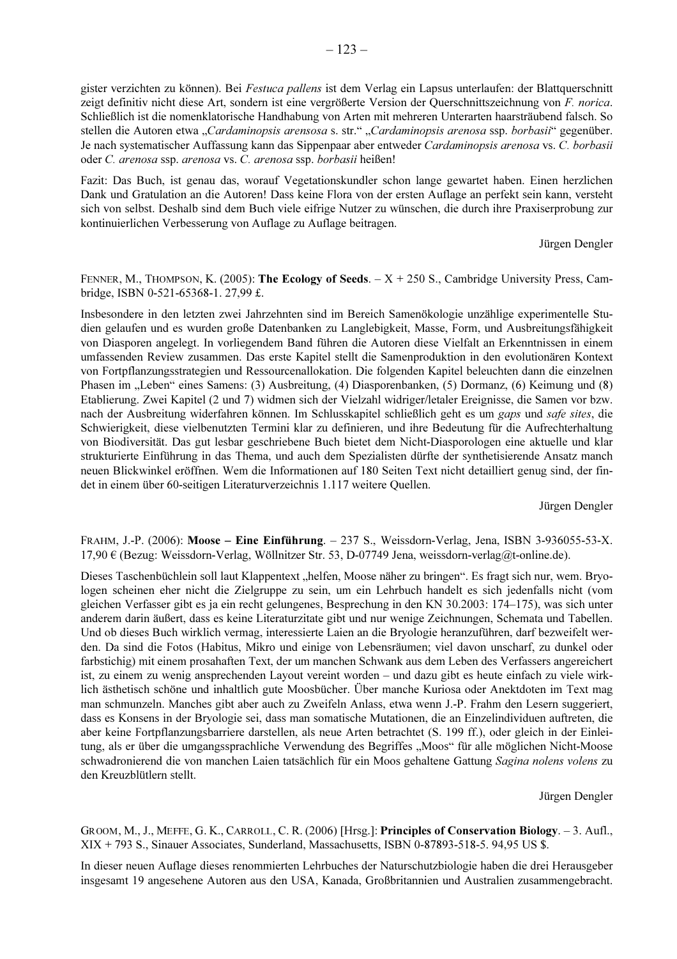gister verzichten zu können). Bei Festuca pallens ist dem Verlag ein Lapsus unterlaufen: der Blattquerschnitt zeigt definitiv nicht diese Art, sondern ist eine vergrößerte Version der Querschnittszeichnung von F. norica. Schließlich ist die nomenklatorische Handhabung von Arten mit mehreren Unterarten haarsträubend falsch. So stellen die Autoren etwa "Cardaminopsis arensosa s. str." "Cardaminopsis arenosa ssp. borbasii" gegenüber. Je nach systematischer Auffassung kann das Sippenpaar aber entweder Cardaminopsis arenosa vs. C. borbasii oder C. arenosa ssp. arenosa vs. C. arenosa ssp. borbasii heißen!

Fazit: Das Buch, ist genau das, worauf Vegetationskundler schon lange gewartet haben. Einen herzlichen Dank und Gratulation an die Autoren! Dass keine Flora von der ersten Auflage an perfekt sein kann, versteht sich von selbst. Deshalb sind dem Buch viele eifrige Nutzer zu wünschen, die durch ihre Praxiserprobung zur kontinuierlichen Verbesserung von Auflage zu Auflage beitragen.

Jürgen Dengler

FENNER, M., THOMPSON, K. (2005): The Ecology of Seeds.  $-X + 250$  S., Cambridge University Press, Cambridge, ISBN 0-521-65368-1.27,99 £.

Insbesondere in den letzten zwei Jahrzehnten sind im Bereich Samenökologie unzählige experimentelle Studien gelaufen und es wurden große Datenbanken zu Langlebigkeit, Masse, Form, und Ausbreitungsfähigkeit von Diasporen angelegt. In vorliegendem Band führen die Autoren diese Vielfalt an Erkenntnissen in einem umfassenden Review zusammen. Das erste Kapitel stellt die Samenproduktion in den evolutionären Kontext von Fortpflanzungsstrategien und Ressourcenallokation. Die folgenden Kapitel beleuchten dann die einzelnen Phasen im "Leben" eines Samens: (3) Ausbreitung, (4) Diasporenbanken, (5) Dormanz, (6) Keimung und (8) Etablierung. Zwei Kapitel (2 und 7) widmen sich der Vielzahl widriger/letaler Ereignisse, die Samen vor bzw. nach der Ausbreitung widerfahren können. Im Schlusskapitel schließlich geht es um gaps und safe sites, die Schwierigkeit, diese vielbenutzten Termini klar zu definieren, und ihre Bedeutung für die Aufrechterhaltung von Biodiversität. Das gut lesbar geschriebene Buch bietet dem Nicht-Diasporologen eine aktuelle und klar strukturierte Einführung in das Thema, und auch dem Spezialisten dürfte der synthetisierende Ansatz manch neuen Blickwinkel eröffnen. Wem die Informationen auf 180 Seiten Text nicht detailliert genug sind, der findet in einem über 60-seitigen Literaturverzeichnis 1.117 weitere Quellen.

Jürgen Dengler

FRAHM, J.-P. (2006): Moose - Eine Einführung.  $-237$  S., Weissdorn-Verlag, Jena, ISBN 3-936055-53-X. 17,90 € (Bezug: Weissdorn-Verlag, Wöllnitzer Str. 53, D-07749 Jena, weissdorn-verlag@t-online.de).

Dieses Taschenbüchlein soll laut Klappentext "helfen, Moose näher zu bringen". Es fragt sich nur, wem. Bryologen scheinen eher nicht die Zielgruppe zu sein, um ein Lehrbuch handelt es sich jedenfalls nicht (vom gleichen Verfasser gibt es ja ein recht gelungenes, Besprechung in den KN 30.2003: 174–175), was sich unter anderem darin äußert, dass es keine Literaturzitate gibt und nur wenige Zeichnungen, Schemata und Tabellen. Und ob dieses Buch wirklich vermag, interessierte Laien an die Bryologie heranzuführen, darf bezweifelt werden. Da sind die Fotos (Habitus, Mikro und einige von Lebensräumen; viel davon unscharf, zu dunkel oder farbstichig) mit einem prosahaften Text, der um manchen Schwank aus dem Leben des Verfassers angereichert ist, zu einem zu wenig ansprechenden Layout vereint worden - und dazu gibt es heute einfach zu viele wirklich ästhetisch schöne und inhaltlich gute Moosbücher. Über manche Kuriosa oder Anektdoten im Text mag man schmunzeln. Manches gibt aber auch zu Zweifeln Anlass, etwa wenn J.-P. Frahm den Lesern suggeriert, dass es Konsens in der Bryologie sei, dass man somatische Mutationen, die an Einzelindividuen auftreten, die aber keine Fortpflanzungsbarriere darstellen, als neue Arten betrachtet (S. 199 ff.), oder gleich in der Einleitung, als er über die umgangssprachliche Verwendung des Begriffes "Moos" für alle möglichen Nicht-Moose schwadronierend die von manchen Laien tatsächlich für ein Moos gehaltene Gattung Sagina nolens volens zu den Kreuzblütlern stellt.

Jürgen Dengler

GROOM, M., J., MEFFE, G. K., CARROLL, C. R. (2006) [Hrsg.]: Principles of Conservation Biology. - 3. Aufl.,  $XIX + 793$  S., Sinauer Associates, Sunderland, Massachusetts, ISBN 0-87893-518-5. 94,95 US \$.

In dieser neuen Auflage dieses renommierten Lehrbuches der Naturschutzbiologie haben die drei Herausgeber insgesamt 19 angesehene Autoren aus den USA, Kanada, Großbritannien und Australien zusammengebracht.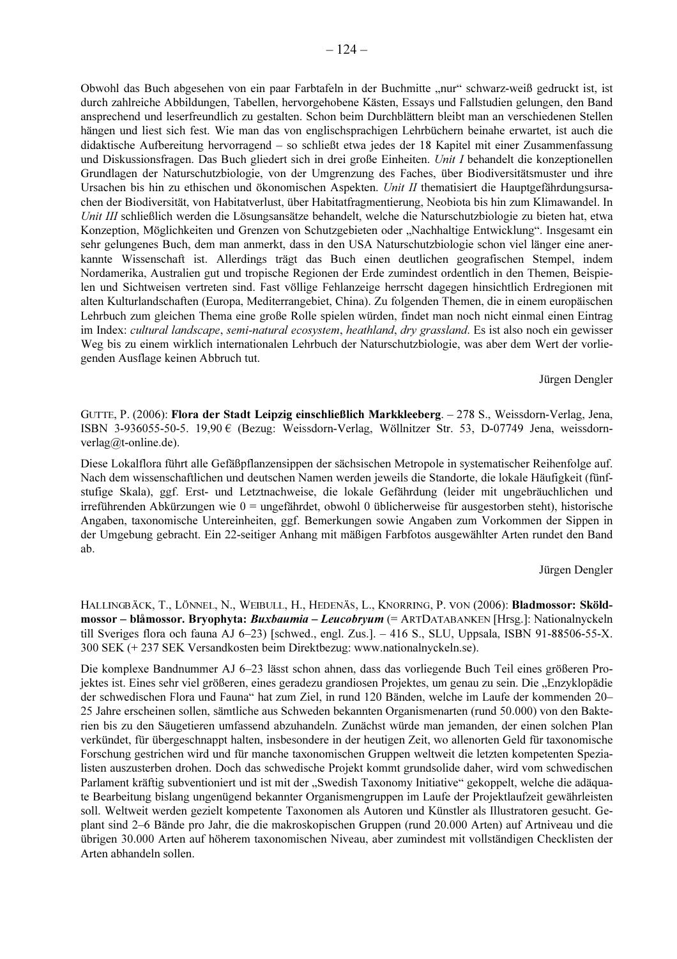Obwohl das Buch abgesehen von ein paar Farbtafeln in der Buchmitte "nur" schwarz-weiß gedruckt ist, ist durch zahlreiche Abbildungen, Tabellen, hervorgehobene Kästen, Essays und Fallstudien gelungen, den Band ansprechend und leserfreundlich zu gestalten. Schon beim Durchblättern bleibt man an verschiedenen Stellen hängen und liest sich fest. Wie man das von englischsprachigen Lehrbüchern beinahe erwartet, ist auch die didaktische Aufbereitung hervorragend – so schließt etwa jedes der 18 Kapitel mit einer Zusammenfassung und Diskussionsfragen. Das Buch gliedert sich in drei große Einheiten. Unit I behandelt die konzeptionellen Grundlagen der Naturschutzbiologie, von der Umgrenzung des Faches, über Biodiversitätsmuster und ihre Ursachen bis hin zu ethischen und ökonomischen Aspekten. Unit II thematisiert die Hauptgefährdungsursachen der Biodiversität, von Habitatverlust, über Habitatfragmentierung, Neobiota bis hin zum Klimawandel. In Unit III schließlich werden die Lösungsansätze behandelt, welche die Naturschutzbiologie zu bieten hat, etwa Konzeption, Möglichkeiten und Grenzen von Schutzgebieten oder "Nachhaltige Entwicklung". Insgesamt ein sehr gelungenes Buch, dem man anmerkt, dass in den USA Naturschutzbiologie schon viel länger eine anerkannte Wissenschaft ist. Allerdings trägt das Buch einen deutlichen geografischen Stempel, indem Nordamerika, Australien gut und tropische Regionen der Erde zumindest ordentlich in den Themen, Beispielen und Sichtweisen vertreten sind. Fast völlige Fehlanzeige herrscht dagegen hinsichtlich Erdregionen mit alten Kulturlandschaften (Europa, Mediterrangebiet, China). Zu folgenden Themen, die in einem europäischen Lehrbuch zum gleichen Thema eine große Rolle spielen würden, findet man noch nicht einmal einen Eintrag im Index: cultural landscape, semi-natural ecosystem, heathland, dry grassland. Es ist also noch ein gewisser Weg bis zu einem wirklich internationalen Lehrbuch der Naturschutzbiologie, was aber dem Wert der vorliegenden Ausflage keinen Abbruch tut.

Jürgen Dengler

GUTTE, P. (2006): Flora der Stadt Leipzig einschließlich Markkleeberg. - 278 S., Weissdorn-Verlag, Jena, ISBN 3-936055-50-5. 19,90 € (Bezug: Weissdorn-Verlag, Wöllnitzer Str. 53, D-07749 Jena, weissdornverlag@t-online.de).

Diese Lokalflora führt alle Gefäßpflanzensippen der sächsischen Metropole in systematischer Reihenfolge auf. Nach dem wissenschaftlichen und deutschen Namen werden jeweils die Standorte, die lokale Häufigkeit (fünfstufige Skala), ggf. Erst- und Letztnachweise, die lokale Gefährdung (leider mit ungebräuchlichen und irreführenden Abkürzungen wie  $0 =$ ungefährdet, obwohl 0 üblicherweise für ausgestorben steht), historische Angaben, taxonomische Untereinheiten, ggf. Bemerkungen sowie Angaben zum Vorkommen der Sippen in der Umgebung gebracht. Ein 22-seitiger Anhang mit mäßigen Farbfotos ausgewählter Arten rundet den Band ab.

#### Jürgen Dengler

HALLINGBÄCK, T., LÖNNEL, N., WEIBULL, H., HEDENÄS, L., KNORRING, P. VON (2006): Bladmossor: Sköldmossor – blåmossor. Bryophyta: Buxbaumia – Leucobryum (= ARTDATABANKEN [Hrsg.]: Nationalnyckeln till Sveriges flora och fauna AJ  $6-23$  [schwed., engl. Zus.].  $-416$  S., SLU, Uppsala, ISBN 91-88506-55-X. 300 SEK (+ 237 SEK Versandkosten beim Direktbezug: www.nationalnyckeln.se).

Die komplexe Bandnummer AJ 6–23 lässt schon ahnen, dass das vorliegende Buch Teil eines größeren Projektes ist. Eines sehr viel größeren, eines geradezu grandiosen Projektes, um genau zu sein. Die "Enzyklopädie der schwedischen Flora und Fauna" hat zum Ziel, in rund 120 Bänden, welche im Laufe der kommenden 20-25 Jahre erscheinen sollen, sämtliche aus Schweden bekannten Organismenarten (rund 50.000) von den Bakterien bis zu den Säugetieren umfassend abzuhandeln. Zunächst würde man jemanden, der einen solchen Plan verkündet, für übergeschnappt halten, insbesondere in der heutigen Zeit, wo allenorten Geld für taxonomische Forschung gestrichen wird und für manche taxonomischen Gruppen weltweit die letzten kompetenten Spezialisten auszusterben drohen. Doch das schwedische Projekt kommt grundsolide daher, wird vom schwedischen Parlament kräftig subventioniert und ist mit der "Swedish Taxonomy Initiative" gekoppelt, welche die adäquate Bearbeitung bislang ungenügend bekannter Organismengruppen im Laufe der Projektlaufzeit gewährleisten soll. Weltweit werden gezielt kompetente Taxonomen als Autoren und Künstler als Illustratoren gesucht. Geplant sind 2–6 Bände pro Jahr, die die makroskopischen Gruppen (rund 20.000 Arten) auf Artniveau und die übrigen 30.000 Arten auf höherem taxonomischen Niveau, aber zumindest mit vollständigen Checklisten der Arten abhandeln sollen.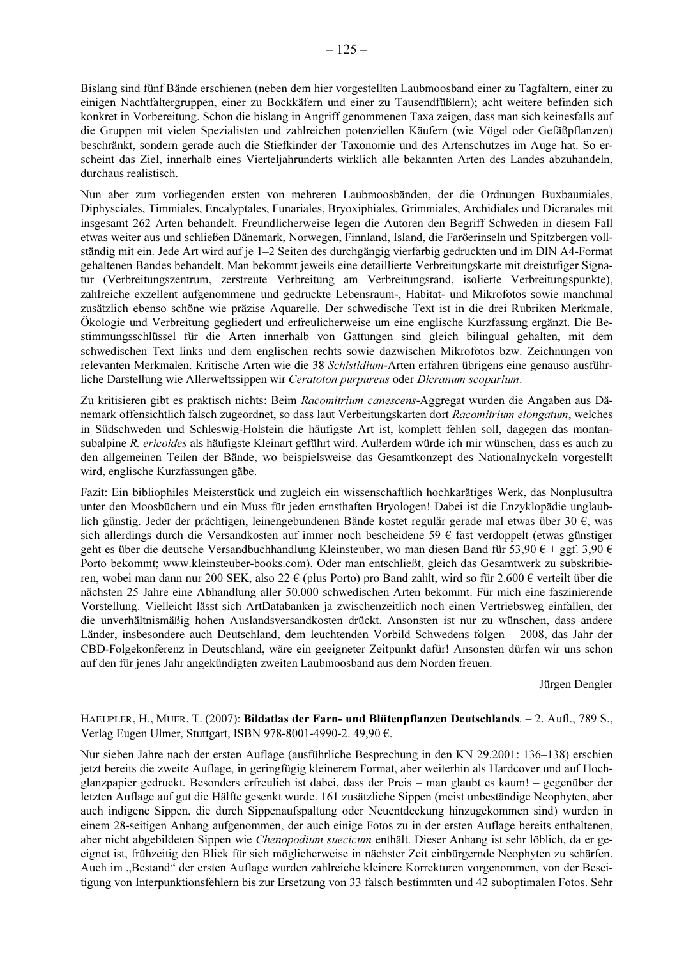Bislang sind fünf Bände erschienen (neben dem hier vorgestellten Laubmoosband einer zu Tagfaltern, einer zu einigen Nachtfaltergruppen, einer zu Bockkäfern und einer zu Tausendfüßlern); acht weitere befinden sich konkret in Vorbereitung. Schon die bislang in Angriff genommenen Taxa zeigen, dass man sich keinesfalls auf die Gruppen mit vielen Spezialisten und zahlreichen potenziellen Käufern (wie Vögel oder Gefäßpflanzen) beschränkt, sondern gerade auch die Stiefkinder der Taxonomie und des Artenschutzes im Auge hat. So erscheint das Ziel, innerhalb eines Vierteljahrunderts wirklich alle bekannten Arten des Landes abzuhandeln, durchaus realistisch.

Nun aber zum vorliegenden ersten von mehreren Laubmoosbänden, der die Ordnungen Buxbaumiales. Diphysciales, Timmiales, Encalyptales, Funariales, Bryoxiphiales, Grimmiales, Archidiales und Dicranales mit insgesamt 262 Arten behandelt. Freundlicherweise legen die Autoren den Begriff Schweden in diesem Fall etwas weiter aus und schließen Dänemark, Norwegen, Finnland, Island, die Faröerinseln und Spitzbergen vollständig mit ein. Jede Art wird auf je 1–2 Seiten des durchgängig vierfarbig gedruckten und im DIN A4-Format gehaltenen Bandes behandelt. Man bekommt jeweils eine detaillierte Verbreitungskarte mit dreistufiger Signatur (Verbreitungszentrum, zerstreute Verbreitung am Verbreitungsrand, isolierte Verbreitungspunkte), zahlreiche exzellent aufgenommene und gedruckte Lebensraum-, Habitat- und Mikrofotos sowie manchmal zusätzlich ebenso schöne wie präzise Aquarelle. Der schwedische Text ist in die drei Rubriken Merkmale, Ökologie und Verbreitung gegliedert und erfreulicherweise um eine englische Kurzfassung ergänzt. Die Bestimmungsschlüssel für die Arten innerhalb von Gattungen sind gleich bilingual gehalten, mit dem schwedischen Text links und dem englischen rechts sowie dazwischen Mikrofotos bzw. Zeichnungen von relevanten Merkmalen. Kritische Arten wie die 38 Schistidium-Arten erfahren übrigens eine genauso ausführliche Darstellung wie Allerweltssippen wir Ceratoton purpureus oder Dicranum scoparium.

Zu kritisieren gibt es praktisch nichts: Beim Racomitrium canescens-Aggregat wurden die Angaben aus Dänemark offensichtlich falsch zugeordnet, so dass laut Verbeitungskarten dort Racomitrium elongatum, welches in Südschweden und Schleswig-Holstein die häufigste Art ist, komplett fehlen soll, dagegen das montansubalpine R. ericoides als häufigste Kleinart geführt wird. Außerdem würde ich mir wünschen, dass es auch zu den allgemeinen Teilen der Bände, wo beispielsweise das Gesamtkonzept des Nationalnyckeln vorgestellt wird, englische Kurzfassungen gäbe.

Fazit: Ein bibliophiles Meisterstück und zugleich ein wissenschaftlich hochkarätiges Werk, das Nonplusultra unter den Moosbüchern und ein Muss für jeden ernsthaften Bryologen! Dabei ist die Enzyklopädie unglaublich günstig. Jeder der prächtigen, leinengebundenen Bände kostet regulär gerade mal etwas über 30 €, was sich allerdings durch die Versandkosten auf immer noch bescheidene 59 € fast verdoppelt (etwas günstiger geht es über die deutsche Versandbuchhandlung Kleinsteuber, wo man diesen Band für 53,90 € + ggf. 3,90 € Porto bekommt; www.kleinsteuber-books.com). Oder man entschließt, gleich das Gesamtwerk zu subskribieren, wobei man dann nur 200 SEK, also 22 € (plus Porto) pro Band zahlt, wird so für 2.600 € verteilt über die nächsten 25 Jahre eine Abhandlung aller 50.000 schwedischen Arten bekommt. Für mich eine faszinierende Vorstellung. Vielleicht lässt sich ArtDatabanken ja zwischenzeitlich noch einen Vertriebsweg einfallen, der die unverhältnismäßig hohen Auslandsversandkosten drückt. Ansonsten ist nur zu wünschen, dass andere Länder, insbesondere auch Deutschland, dem leuchtenden Vorbild Schwedens folgen – 2008, das Jahr der CBD-Folgekonferenz in Deutschland, wäre ein geeigneter Zeitpunkt dafür! Ansonsten dürfen wir uns schon auf den für jenes Jahr angekündigten zweiten Laubmoosband aus dem Norden freuen.

Jürgen Dengler

# HAEUPLER, H., MUER, T. (2007): Bildatlas der Farn- und Blütenpflanzen Deutschlands. - 2. Aufl., 789 S., Verlag Eugen Ulmer, Stuttgart, ISBN 978-8001-4990-2. 49,90 €.

Nur sieben Jahre nach der ersten Auflage (ausführliche Besprechung in den KN 29.2001: 136–138) erschien jetzt bereits die zweite Auflage, in geringfügig kleinerem Format, aber weiterhin als Hardcover und auf Hochglanzpapier gedruckt. Besonders erfreulich ist dabei, dass der Preis – man glaubt es kaum! – gegenüber der letzten Auflage auf gut die Hälfte gesenkt wurde. 161 zusätzliche Sippen (meist unbeständige Neophyten, aber auch indigene Sippen, die durch Sippenaufspaltung oder Neuentdeckung hinzugekommen sind) wurden in einem 28-seitigen Anhang aufgenommen, der auch einige Fotos zu in der ersten Auflage bereits enthaltenen, aber nicht abgebildeten Sippen wie Chenopodium suecicum enthält. Dieser Anhang ist sehr löblich, da er geeignet ist, frühzeitig den Blick für sich möglicherweise in nächster Zeit einbürgernde Neophyten zu schärfen. Auch im "Bestand" der ersten Auflage wurden zahlreiche kleinere Korrekturen vorgenommen, von der Beseitigung von Interpunktionsfehlern bis zur Ersetzung von 33 falsch bestimmten und 42 suboptimalen Fotos. Sehr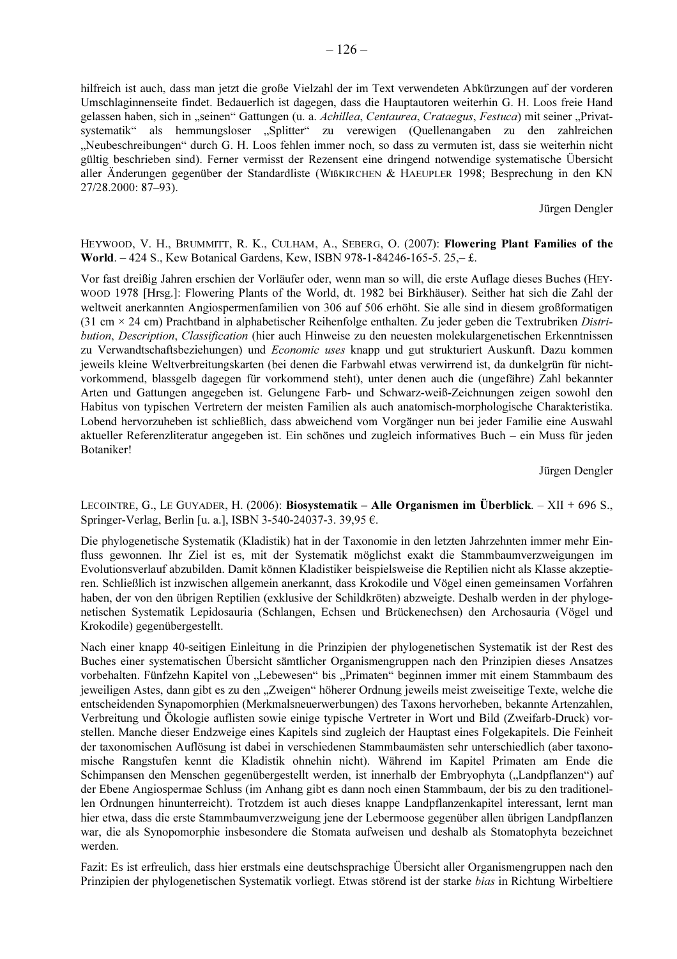hilfreich ist auch, dass man jetzt die große Vielzahl der im Text verwendeten Abkürzungen auf der vorderen Umschlaginnenseite findet. Bedauerlich ist dagegen, dass die Hauptautoren weiterhin G. H. Loos freie Hand gelassen haben, sich in "seinen" Gattungen (u. a. Achillea, Centaurea, Crataegus, Festuca) mit seiner "Privatsystematik" als hemmungsloser "Splitter" zu verewigen (Quellenangaben zu den zahlreichen "Neubeschreibungen" durch G. H. Loos fehlen immer noch, so dass zu vermuten ist, dass sie weiterhin nicht gültig beschrieben sind). Ferner vermisst der Rezensent eine dringend notwendige systematische Übersicht aller Änderungen gegenüber der Standardliste (WIBKIRCHEN & HAEUPLER 1998; Besprechung in den KN 27/28.2000: 87-93).

Jürgen Dengler

# HEYWOOD, V. H., BRUMMITT, R. K., CULHAM, A., SEBERG, O. (2007): Flowering Plant Families of the World. - 424 S., Kew Botanical Gardens, Kew, ISBN 978-1-84246-165-5, 25,-£.

Vor fast dreißig Jahren erschien der Vorläufer oder, wenn man so will, die erste Auflage dieses Buches (HEY-WOOD 1978 [Hrsg.]: Flowering Plants of the World, dt. 1982 bei Birkhäuser). Seither hat sich die Zahl der weltweit anerkannten Angiospermenfamilien von 306 auf 506 erhöht. Sie alle sind in diesem großformatigen (31 cm  $\times$  24 cm) Prachtband in alphabetischer Reihenfolge enthalten. Zu jeder geben die Textrubriken Distribution, Description, Classification (hier auch Hinweise zu den neuesten molekulargenetischen Erkenntnissen zu Verwandtschaftsbeziehungen) und Economic uses knapp und gut strukturiert Auskunft. Dazu kommen jeweils kleine Weltverbreitungskarten (bei denen die Farbwahl etwas verwirrend ist, da dunkelgrün für nichtvorkommend, blassgelb dagegen für vorkommend steht), unter denen auch die (ungefähre) Zahl bekannter Arten und Gattungen angegeben ist. Gelungene Farb- und Schwarz-weiß-Zeichnungen zeigen sowohl den Habitus von typischen Vertretern der meisten Familien als auch anatomisch-morphologische Charakteristika. Lobend hervorzuheben ist schließlich, dass abweichend vom Vorgänger nun bei jeder Familie eine Auswahl aktueller Referenzliteratur angegeben ist. Ein schönes und zugleich informatives Buch – ein Muss für jeden Botaniker!

Jürgen Dengler

LECOINTRE, G., LE GUYADER, H. (2006): Biosystematik – Alle Organismen im Überblick. – XII + 696 S., Springer-Verlag, Berlin [u. a.], ISBN 3-540-24037-3. 39,95 €.

Die phylogenetische Systematik (Kladistik) hat in der Taxonomie in den letzten Jahrzehnten immer mehr Einfluss gewonnen. Ihr Ziel ist es, mit der Systematik möglichst exakt die Stammbaumverzweigungen im Evolutionsverlauf abzubilden. Damit können Kladistiker beispielsweise die Reptilien nicht als Klasse akzeptieren. Schließlich ist inzwischen allgemein anerkannt, dass Krokodile und Vögel einen gemeinsamen Vorfahren haben, der von den übrigen Reptilien (exklusive der Schildkröten) abzweigte. Deshalb werden in der phylogenetischen Systematik Lepidosauria (Schlangen, Echsen und Brückenechsen) den Archosauria (Vögel und Krokodile) gegenübergestellt.

Nach einer knapp 40-seitigen Einleitung in die Prinzipien der phylogenetischen Systematik ist der Rest des Buches einer systematischen Übersicht sämtlicher Organismengruppen nach den Prinzipien dieses Ansatzes vorbehalten. Fünfzehn Kapitel von "Lebewesen" bis "Primaten" beginnen immer mit einem Stammbaum des jeweiligen Astes, dann gibt es zu den "Zweigen" höherer Ordnung jeweils meist zweiseitige Texte, welche die entscheidenden Synapomorphien (Merkmalsneuerwerbungen) des Taxons hervorheben, bekannte Artenzahlen, Verbreitung und Ökologie auflisten sowie einige typische Vertreter in Wort und Bild (Zweifarb-Druck) vorstellen. Manche dieser Endzweige eines Kapitels sind zugleich der Hauptast eines Folgekapitels. Die Feinheit der taxonomischen Auflösung ist dabei in verschiedenen Stammbaumästen sehr unterschiedlich (aber taxonomische Rangstufen kennt die Kladistik ohnehin nicht). Während im Kapitel Primaten am Ende die Schimpansen den Menschen gegenübergestellt werden, ist innerhalb der Embryophyta ("Landpflanzen") auf der Ebene Angiospermae Schluss (im Anhang gibt es dann noch einen Stammbaum, der bis zu den traditionellen Ordnungen hinunterreicht). Trotzdem ist auch dieses knappe Landpflanzenkapitel interessant, lernt man hier etwa, dass die erste Stammbaumverzweigung jene der Lebermoose gegenüber allen übrigen Landpflanzen war, die als Synopomorphie insbesondere die Stomata aufweisen und deshalb als Stomatophyta bezeichnet werden.

Fazit: Es ist erfreulich, dass hier erstmals eine deutschsprachige Übersicht aller Organismengruppen nach den Prinzipien der phylogenetischen Systematik vorliegt. Etwas störend ist der starke bias in Richtung Wirbeltiere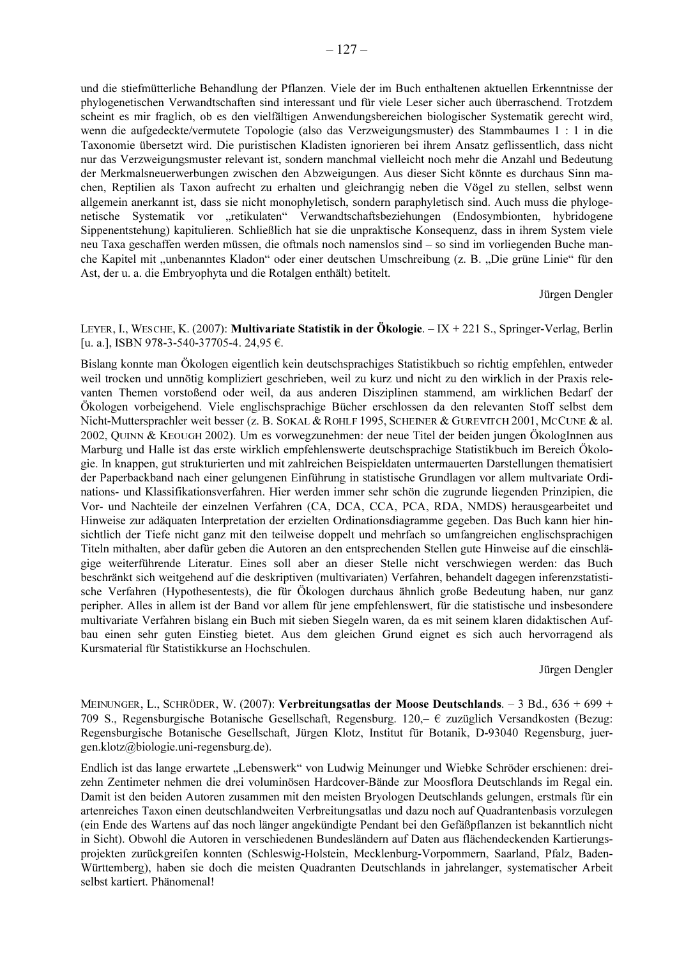und die stiefmütterliche Behandlung der Pflanzen. Viele der im Buch enthaltenen aktuellen Erkenntnisse der phylogenetischen Verwandtschaften sind interessant und für viele Leser sicher auch überraschend. Trotzdem scheint es mir fraglich, ob es den vielfältigen Anwendungsbereichen biologischer Systematik gerecht wird, wenn die aufgedeckte/vermutete Topologie (also das Verzweigungsmuster) des Stammbaumes 1 : 1 in die Taxonomie übersetzt wird. Die puristischen Kladisten ignorieren bei ihrem Ansatz geflissentlich, dass nicht nur das Verzweigungsmuster relevant ist, sondern manchmal vielleicht noch mehr die Anzahl und Bedeutung der Merkmalsneuerwerbungen zwischen den Abzweigungen. Aus dieser Sicht könnte es durchaus Sinn machen, Reptilien als Taxon aufrecht zu erhalten und gleichrangig neben die Vögel zu stellen, selbst wenn allgemein anerkannt ist, dass sie nicht monophyletisch, sondern paraphyletisch sind. Auch muss die phylogenetische Systematik vor "retikulaten" Verwandtschaftsbeziehungen (Endosymbionten, hybridogene Sippenentstehung) kapitulieren. Schließlich hat sie die unpraktische Konsequenz, dass in ihrem System viele neu Taxa geschaffen werden müssen, die oftmals noch namenslos sind – so sind im vorliegenden Buche manche Kapitel mit "unbenanntes Kladon" oder einer deutschen Umschreibung (z. B. "Die grüne Linie" für den Ast, der u. a. die Embryophyta und die Rotalgen enthält) betitelt.

Jürgen Dengler

#### LEYER, I., WESCHE, K. (2007): Multivariate Statistik in der Ökologie.  $-IX + 221S$ ., Springer-Verlag, Berlin [u. a.], ISBN 978-3-540-37705-4. 24,95 €.

Bislang konnte man Ökologen eigentlich kein deutschsprachiges Statistikbuch so richtig empfehlen, entweder weil trocken und unnötig kompliziert geschrieben, weil zu kurz und nicht zu den wirklich in der Praxis relevanten Themen vorstoßend oder weil, da aus anderen Disziplinen stammend, am wirklichen Bedarf der Ökologen vorbeigehend. Viele englischsprachige Bücher erschlossen da den relevanten Stoff selbst dem Nicht-Muttersprachler weit besser (z. B. SOKAL & ROHLF 1995, SCHEINER & GUREVITCH 2001, MCCUNE & al. 2002, QUINN & KEOUGH 2002). Um es vorwegzunehmen: der neue Titel der beiden jungen ÖkologInnen aus Marburg und Halle ist das erste wirklich empfehlenswerte deutschsprachige Statistikbuch im Bereich Ökologie. In knappen, gut strukturierten und mit zahlreichen Beispieldaten untermauerten Darstellungen thematisiert der Paperbackband nach einer gelungenen Einführung in statistische Grundlagen vor allem multvariate Ordinations- und Klassifikationsverfahren. Hier werden immer sehr schön die zugrunde liegenden Prinzipien, die Vor- und Nachteile der einzelnen Verfahren (CA, DCA, CCA, PCA, RDA, NMDS) herausgearbeitet und Hinweise zur adäquaten Interpretation der erzielten Ordinationsdiagramme gegeben. Das Buch kann hier hinsichtlich der Tiefe nicht ganz mit den teilweise doppelt und mehrfach so umfangreichen englischsprachigen Titeln mithalten, aber dafür geben die Autoren an den entsprechenden Stellen gute Hinweise auf die einschlägige weiterführende Literatur. Eines soll aber an dieser Stelle nicht verschwiegen werden: das Buch beschränkt sich weitgehend auf die deskriptiven (multivariaten) Verfahren, behandelt dagegen inferenzstatistische Verfahren (Hypothesentests), die für Ökologen durchaus ähnlich große Bedeutung haben, nur ganz peripher. Alles in allem ist der Band vor allem für jene empfehlenswert, für die statistische und insbesondere multivariate Verfahren bislang ein Buch mit sieben Siegeln waren, da es mit seinem klaren didaktischen Aufbau einen sehr guten Einstieg bietet. Aus dem gleichen Grund eignet es sich auch hervorragend als Kursmaterial für Statistikkurse an Hochschulen.

Jürgen Dengler

MEINUNGER, L., SCHRÖDER, W. (2007): Verbreitungsatlas der Moose Deutschlands. - 3 Bd., 636 + 699 + 709 S., Regensburgische Botanische Gesellschaft, Regensburg. 120,-  $\epsilon$  zuzüglich Versandkosten (Bezug: Regensburgische Botanische Gesellschaft, Jürgen Klotz, Institut für Botanik, D-93040 Regensburg, juergen.klotz@biologie.uni-regensburg.de).

Endlich ist das lange erwartete "Lebenswerk" von Ludwig Meinunger und Wiebke Schröder erschienen: dreizehn Zentimeter nehmen die drei voluminösen Hardcover-Bände zur Moosflora Deutschlands im Regal ein. Damit ist den beiden Autoren zusammen mit den meisten Bryologen Deutschlands gelungen, erstmals für ein artenreiches Taxon einen deutschlandweiten Verbreitungsatlas und dazu noch auf Quadrantenbasis vorzulegen (ein Ende des Wartens auf das noch länger angekündigte Pendant bei den Gefäßpflanzen ist bekanntlich nicht in Sicht). Obwohl die Autoren in verschiedenen Bundesländern auf Daten aus flächendeckenden Kartierungsprojekten zurückgreifen konnten (Schleswig-Holstein, Mecklenburg-Vorpommern, Saarland, Pfalz, Baden-Württemberg), haben sie doch die meisten Quadranten Deutschlands in jahrelanger, systematischer Arbeit selbst kartiert. Phänomenal!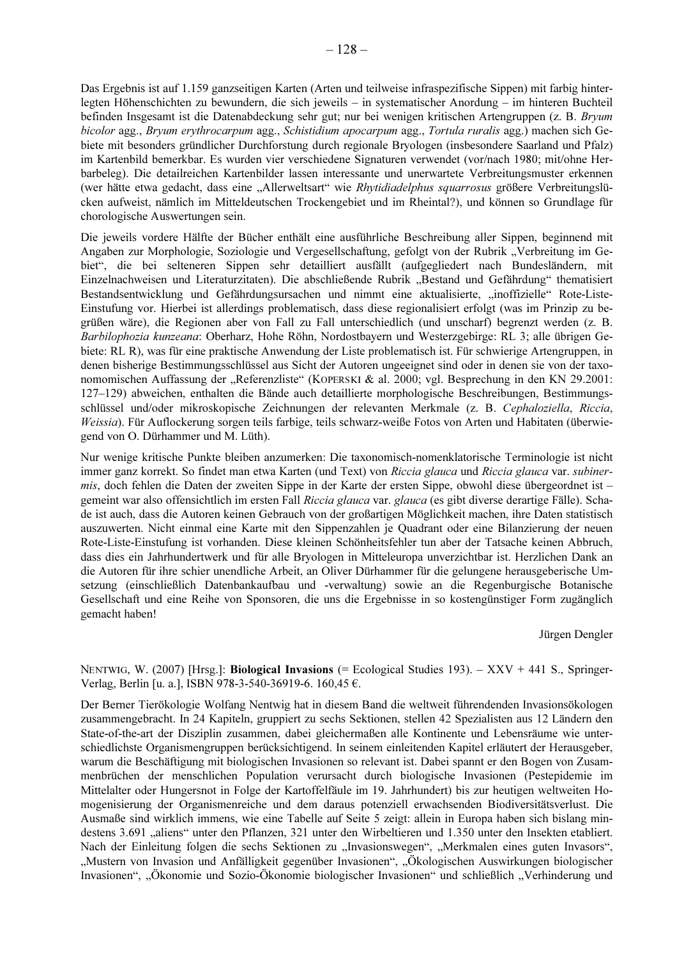Das Ergebnis ist auf 1.159 ganzseitigen Karten (Arten und teilweise infraspezifische Sippen) mit farbig hinterlegten Höhenschichten zu bewundern, die sich jeweils – in systematischer Anordung – im hinteren Buchteil befinden Insgesamt ist die Datenabdeckung sehr gut; nur bei wenigen kritischen Artengruppen (z. B. Bryum bicolor agg., Bryum erythrocarpum agg., Schistidium apocarpum agg., Tortula ruralis agg.) machen sich Gebiete mit besonders gründlicher Durchforstung durch regionale Bryologen (insbesondere Saarland und Pfalz) im Kartenbild bemerkbar. Es wurden vier verschiedene Signaturen verwendet (vor/nach 1980; mit/ohne Herbarbeleg). Die detailreichen Kartenbilder lassen interessante und unerwartete Verbreitungsmuster erkennen (wer hätte etwa gedacht, dass eine "Allerweltsart" wie Rhytidiadelphus squarrosus größere Verbreitungslücken aufweist, nämlich im Mitteldeutschen Trockengebiet und im Rheintal?), und können so Grundlage für chorologische Auswertungen sein.

Die jeweils vordere Hälfte der Bücher enthält eine ausführliche Beschreibung aller Sippen, beginnend mit Angaben zur Morphologie, Soziologie und Vergesellschaftung, gefolgt von der Rubrik "Verbreitung im Gebiet", die bei selteneren Sippen sehr detailliert ausfällt (aufgegliedert nach Bundesländern, mit Einzelnachweisen und Literaturzitaten). Die abschließende Rubrik "Bestand und Gefährdung" thematisiert Bestandsentwicklung und Gefährdungsursachen und nimmt eine aktualisierte, "inoffizielle" Rote-Liste-Einstufung vor. Hierbei ist allerdings problematisch, dass diese regionalisiert erfolgt (was im Prinzip zu begrüßen wäre), die Regionen aber von Fall zu Fall unterschiedlich (und unscharf) begrenzt werden (z. B. Barbilophozia kunzeana: Oberharz, Hohe Röhn, Nordostbayern und Westerzgebirge: RL 3; alle übrigen Gebiete: RL R), was für eine praktische Anwendung der Liste problematisch ist. Für schwierige Artengruppen, in denen bisherige Bestimmungsschlüssel aus Sicht der Autoren ungeeignet sind oder in denen sie von der taxonomomischen Auffassung der "Referenzliste" (KOPERSKI & al. 2000; vgl. Besprechung in den KN 29.2001: 127–129) abweichen, enthalten die Bände auch detaillierte morphologische Beschreibungen. Bestimmungsschlüssel und/oder mikroskopische Zeichnungen der relevanten Merkmale (z. B. Cephaloziella, Riccia, Weissia). Für Auflockerung sorgen teils farbige, teils schwarz-weiße Fotos von Arten und Habitaten (überwiegend von O. Dürhammer und M. Lüth).

Nur wenige kritische Punkte bleiben anzumerken: Die taxonomisch-nomenklatorische Terminologie ist nicht immer ganz korrekt. So findet man etwa Karten (und Text) von Riccia glauca und Riccia glauca var. subiner*mis*, doch fehlen die Daten der zweiten Sippe in der Karte der ersten Sippe, obwohl diese übergeordnet ist – gemeint war also offensichtlich im ersten Fall Riccia glauca var. glauca (es gibt diverse derartige Fälle). Schade ist auch, dass die Autoren keinen Gebrauch von der großartigen Möglichkeit machen, ihre Daten statistisch auszuwerten. Nicht einmal eine Karte mit den Sippenzahlen je Quadrant oder eine Bilanzierung der neuen Rote-Liste-Einstufung ist vorhanden. Diese kleinen Schönheitsfehler tun aber der Tatsache keinen Abbruch, dass dies ein Jahrhundertwerk und für alle Bryologen in Mitteleuropa unverzichtbar ist. Herzlichen Dank an die Autoren für ihre schier unendliche Arbeit, an Oliver Dürhammer für die gelungene herausgeberische Umsetzung (einschließlich Datenbankaufbau und -verwaltung) sowie an die Regenburgische Botanische Gesellschaft und eine Reihe von Sponsoren, die uns die Ergebnisse in so kostengünstiger Form zugänglich gemacht haben!

Jürgen Dengler

NENTWIG, W. (2007) [Hrsg.]: Biological Invasions (= Ecological Studies 193). - XXV + 441 S., Springer-Verlag, Berlin [u. a.], ISBN 978-3-540-36919-6. 160,45 €.

Der Berner Tierökologie Wolfang Nentwig hat in diesem Band die weltweit führendenden Invasionsökologen zusammengebracht. In 24 Kapiteln, gruppiert zu sechs Sektionen, stellen 42 Spezialisten aus 12 Ländern den State-of-the-art der Disziplin zusammen, dabei gleichermaßen alle Kontinente und Lebensräume wie unterschiedlichste Organismengruppen berücksichtigend. In seinem einleitenden Kapitel erläutert der Herausgeber, warum die Beschäftigung mit biologischen Invasionen so relevant ist. Dabei spannt er den Bogen von Zusammenbrüchen der menschlichen Population verursacht durch biologische Invasionen (Pestepidemie im Mittelalter oder Hungersnot in Folge der Kartoffelfäule im 19. Jahrhundert) bis zur heutigen weltweiten Homogenisierung der Organismenreiche und dem daraus potenziell erwachsenden Biodiversitätsverlust. Die Ausmaße sind wirklich immens, wie eine Tabelle auf Seite 5 zeigt: allein in Europa haben sich bislang mindestens 3.691 "aliens" unter den Pflanzen, 321 unter den Wirbeltieren und 1.350 unter den Insekten etabliert. Nach der Einleitung folgen die sechs Sektionen zu "Invasionswegen", "Merkmalen eines guten Invasors", "Mustern von Invasion und Anfälligkeit gegenüber Invasionen", "Ökologischen Auswirkungen biologischer Invasionen", "Ökonomie und Sozio-Ökonomie biologischer Invasionen" und schließlich "Verhinderung und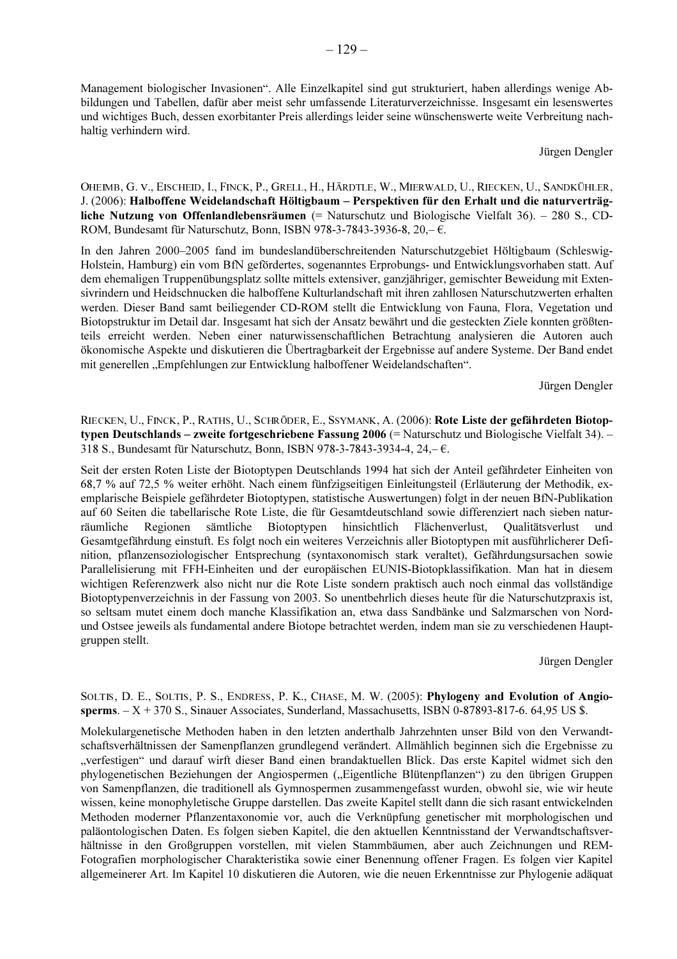Management biologischer Invasionen". Alle Einzelkapitel sind gut strukturiert, haben allerdings wenige Abbildungen und Tabellen, dafür aber meist sehr umfassende Literaturverzeichnisse. Insgesamt ein lesenswertes und wichtiges Buch, dessen exorbitanter Preis allerdings leider seine wünschenswerte weite Verbreitung nachhaltig verhindern wird.

#### Jürgen Dengler

OHEIMB, G. V., EISCHEID, I., FINCK, P., GRELL, H., HÄRDTLE, W., MIERWALD, U., RIECKEN, U., SANDKÜHLER, J. (2006): Halboffene Weidelandschaft Höltigbaum – Perspektiven für den Erhalt und die naturverträgliche Nutzung von Offenlandlebensräumen (= Naturschutz und Biologische Vielfalt 36). - 280 S., CD-ROM, Bundesamt für Naturschutz, Bonn, ISBN 978-3-7843-3936-8,  $20, -6$ .

In den Jahren 2000–2005 fand im bundeslandüberschreitenden Naturschutzgebiet Höltigbaum (Schleswig-Holstein, Hamburg) ein vom BfN gefördertes, sogenanntes Erprobungs- und Entwicklungsvorhaben statt. Auf dem ehemaligen Truppenübungsplatz sollte mittels extensiver, ganzjähriger, gemischter Beweidung mit Extensivrindern und Heidschnucken die halboffene Kulturlandschaft mit ihren zahllosen Naturschutzwerten erhalten werden. Dieser Band samt beiliegender CD-ROM stellt die Entwicklung von Fauna, Flora, Vegetation und Biotopstruktur im Detail dar. Insgesamt hat sich der Ansatz bewährt und die gesteckten Ziele konnten größtenteils erreicht werden. Neben einer naturwissenschaftlichen Betrachtung analysieren die Autoren auch ökonomische Aspekte und diskutieren die Übertragbarkeit der Ergebnisse auf andere Systeme. Der Band endet mit generellen "Empfehlungen zur Entwicklung halboffener Weidelandschaften".

Jürgen Dengler

RIECKEN, U., FINCK, P., RATHS, U., SCHRÖDER, E., SSYMANK, A. (2006): Rote Liste der gefährdeten Biotoptypen Deutschlands – zweite fortgeschriebene Fassung 2006 (= Naturschutz und Biologische Vielfalt 34). – 318 S., Bundesamt für Naturschutz, Bonn, ISBN 978-3-7843-3934-4, 24,- €.

Seit der ersten Roten Liste der Biotoptypen Deutschlands 1994 hat sich der Anteil gefährdeter Einheiten von 68,7 % auf 72,5 % weiter erhöht. Nach einem fünfzigseitigen Einleitungsteil (Erläuterung der Methodik, exemplarische Beispiele gefährdeter Biotoptypen, statistische Auswertungen) folgt in der neuen BfN-Publikation auf 60 Seiten die tabellarische Rote Liste, die für Gesamtdeutschland sowie differenziert nach sieben natursämtliche Biotoptypen Regionen hinsichtlich Flächenverlust, räumliche Oualitätsverlust und Gesamtgefährdung einstuft. Es folgt noch ein weiteres Verzeichnis aller Biotoptypen mit ausführlicherer Definition, pflanzensoziologischer Entsprechung (syntaxonomisch stark veraltet), Gefährdungsursachen sowie Parallelisierung mit FFH-Einheiten und der europäischen EUNIS-Biotopklassifikation. Man hat in diesem wichtigen Referenzwerk also nicht nur die Rote Liste sondern praktisch auch noch einmal das vollständige Biotoptypenverzeichnis in der Fassung von 2003. So unentbehrlich dieses heute für die Naturschutzpraxis ist, so seltsam mutet einem doch manche Klassifikation an, etwa dass Sandbänke und Salzmarschen von Nordund Ostsee jeweils als fundamental andere Biotope betrachtet werden, indem man sie zu verschiedenen Hauptgruppen stellt.

Jürgen Dengler

# SOLTIS, D. E., SOLTIS, P. S., ENDRESS, P. K., CHASE, M. W. (2005): Phylogeny and Evolution of Angiosperms.  $-X + 370$  S., Sinauer Associates, Sunderland, Massachusetts, ISBN 0-87893-817-6. 64.95 US \$.

Molekulargenetische Methoden haben in den letzten anderthalb Jahrzehnten unser Bild von den Verwandtschaftsverhältnissen der Samenpflanzen grundlegend verändert. Allmählich beginnen sich die Ergebnisse zu "verfestigen" und darauf wirft dieser Band einen brandaktuellen Blick. Das erste Kapitel widmet sich den phylogenetischen Beziehungen der Angiospermen ("Eigentliche Blütenpflanzen") zu den übrigen Gruppen von Samenpflanzen, die traditionell als Gymnospermen zusammengefasst wurden, obwohl sie, wie wir heute wissen, keine monophyletische Gruppe darstellen. Das zweite Kapitel stellt dann die sich rasant entwickelnden Methoden moderner Pflanzentaxonomie vor, auch die Verknüpfung genetischer mit morphologischen und paläontologischen Daten. Es folgen sieben Kapitel, die den aktuellen Kenntnisstand der Verwandtschaftsverhältnisse in den Großgruppen vorstellen, mit vielen Stammbäumen, aber auch Zeichnungen und REM-Fotografien morphologischer Charakteristika sowie einer Benennung offener Fragen. Es folgen vier Kapitel allgemeinerer Art. Im Kapitel 10 diskutieren die Autoren, wie die neuen Erkenntnisse zur Phylogenie adäquat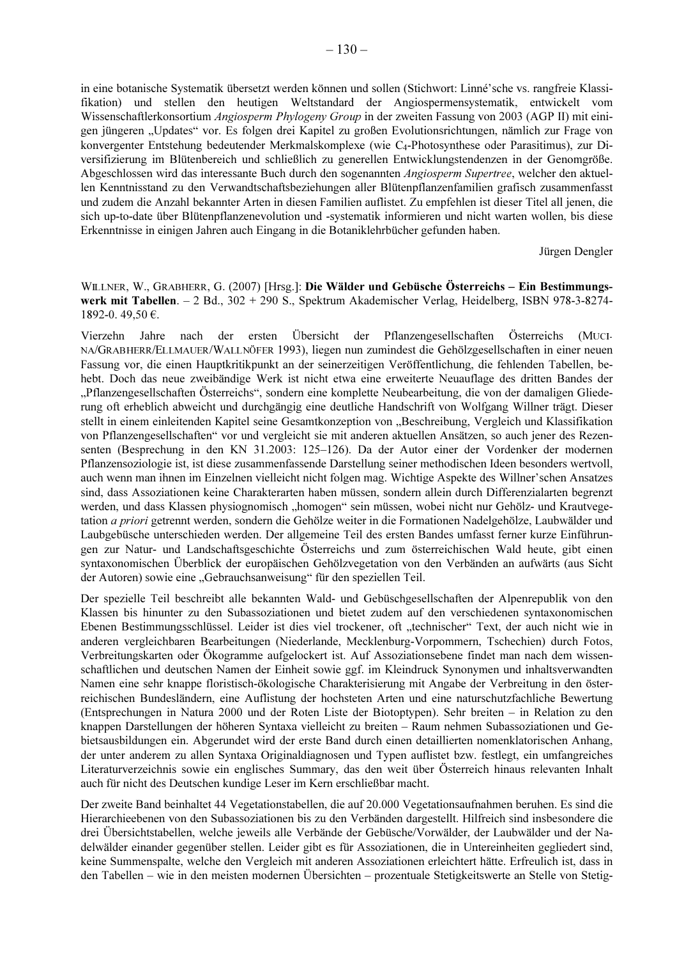in eine botanische Systematik übersetzt werden können und sollen (Stichwort: Linné'sche vs. rangfreie Klassifikation) und stellen den heutigen Weltstandard der Angiospermensystematik, entwickelt vom Wissenschaftlerkonsortium Angiosperm Phylogeny Group in der zweiten Fassung von 2003 (AGP II) mit einigen jüngeren "Updates" vor. Es folgen drei Kapitel zu großen Evolutionsrichtungen, nämlich zur Frage von konvergenter Entstehung bedeutender Merkmalskomplexe (wie C<sub>4</sub>-Photosynthese oder Parasitimus), zur Diversifizierung im Blütenbereich und schließlich zu generellen Entwicklungstendenzen in der Genomgröße. Abgeschlossen wird das interessante Buch durch den sogenannten Angiosperm Supertree, welcher den aktuellen Kenntnisstand zu den Verwandtschaftsbeziehungen aller Blütenpflanzenfamilien grafisch zusammenfasst und zudem die Anzahl bekannter Arten in diesen Familien auflistet. Zu empfehlen ist dieser Titel all jenen, die sich up-to-date über Blütenpflanzenevolution und -systematik informieren und nicht warten wollen, bis diese Erkenntnisse in einigen Jahren auch Eingang in die Botaniklehrbücher gefunden haben.

Jürgen Dengler

WILLNER, W., GRABHERR, G. (2007) [Hrsg.]: Die Wälder und Gebüsche Österreichs - Ein Bestimmungswerk mit Tabellen.  $-2$  Bd.,  $302 + 290$  S., Spektrum Akademischer Verlag, Heidelberg, ISBN 978-3-8274-1892-0.49.50 €.

ersten Übersicht der Pflanzengesellschaften Österreichs Vierzehn Jahre nach der (MUCI-NA/GRABHERR/ELLMAUER/WALLNÖFER 1993), liegen nun zumindest die Gehölzgesellschaften in einer neuen Fassung vor, die einen Hauptkritikpunkt an der seinerzeitigen Veröffentlichung, die fehlenden Tabellen, behebt. Doch das neue zweibändige Werk ist nicht etwa eine erweiterte Neuauflage des dritten Bandes der "Pflanzengesellschaften Österreichs", sondern eine komplette Neubearbeitung, die von der damaligen Gliederung oft erheblich abweicht und durchgängig eine deutliche Handschrift von Wolfgang Willner trägt. Dieser stellt in einem einleitenden Kapitel seine Gesamtkonzeption von "Beschreibung, Vergleich und Klassifikation von Pflanzengesellschaften" vor und vergleicht sie mit anderen aktuellen Ansätzen, so auch jener des Rezensenten (Besprechung in den KN 31.2003: 125-126). Da der Autor einer der Vordenker der modernen Pflanzensoziologie ist, ist diese zusammenfassende Darstellung seiner methodischen Ideen besonders wertvoll, auch wenn man ihnen im Einzelnen vielleicht nicht folgen mag. Wichtige Aspekte des Willner'schen Ansatzes sind, dass Assoziationen keine Charakterarten haben müssen, sondern allein durch Differenzialarten begrenzt werden, und dass Klassen physiognomisch "homogen" sein müssen, wobei nicht nur Gehölz- und Krautvegetation *a priori* getrennt werden, sondern die Gehölze weiter in die Formationen Nadelgehölze. Laubwälder und Laubgebüsche unterschieden werden. Der allgemeine Teil des ersten Bandes umfasst ferner kurze Einführungen zur Natur- und Landschaftsgeschichte Österreichs und zum österreichischen Wald heute, gibt einen syntaxonomischen Überblick der europäischen Gehölzvegetation von den Verbänden an aufwärts (aus Sicht der Autoren) sowie eine "Gebrauchsanweisung" für den speziellen Teil.

Der spezielle Teil beschreibt alle bekannten Wald- und Gebüschgesellschaften der Alpenrepublik von den Klassen bis hinunter zu den Subassoziationen und bietet zudem auf den verschiedenen syntaxonomischen Ebenen Bestimmungsschlüssel. Leider ist dies viel trockener, oft "technischer" Text, der auch nicht wie in anderen vergleichbaren Bearbeitungen (Niederlande, Mecklenburg-Vorpommern, Tschechien) durch Fotos, Verbreitungskarten oder Ökogramme aufgelockert ist. Auf Assoziationsebene findet man nach dem wissenschaftlichen und deutschen Namen der Einheit sowie ggf. im Kleindruck Synonymen und inhaltsverwandten Namen eine sehr knappe floristisch-ökologische Charakterisierung mit Angabe der Verbreitung in den österreichischen Bundesländern, eine Auflistung der hochsteten Arten und eine naturschutzfachliche Bewertung (Entsprechungen in Natura 2000 und der Roten Liste der Biotoptypen). Sehr breiten – in Relation zu den knappen Darstellungen der höheren Syntaxa vielleicht zu breiten - Raum nehmen Subassoziationen und Gebietsausbildungen ein. Abgerundet wird der erste Band durch einen detaillierten nomenklatorischen Anhang, der unter anderem zu allen Syntaxa Originaldiagnosen und Typen auflistet bzw. festlegt, ein umfangreiches Literaturverzeichnis sowie ein englisches Summary, das den weit über Österreich hinaus relevanten Inhalt auch für nicht des Deutschen kundige Leser im Kern erschließbar macht.

Der zweite Band beinhaltet 44 Vegetationstabellen, die auf 20.000 Vegetationsaufnahmen beruhen. Es sind die Hierarchieebenen von den Subassoziationen bis zu den Verbänden dargestellt. Hilfreich sind insbesondere die drei Übersichtstabellen, welche jeweils alle Verbände der Gebüsche/Vorwälder, der Laubwälder und der Nadelwälder einander gegenüber stellen. Leider gibt es für Assoziationen, die in Untereinheiten gegliedert sind, keine Summenspalte, welche den Vergleich mit anderen Assoziationen erleichtert hätte. Erfreulich ist, dass in den Tabellen – wie in den meisten modernen Übersichten – prozentuale Stetigkeitswerte an Stelle von Stetig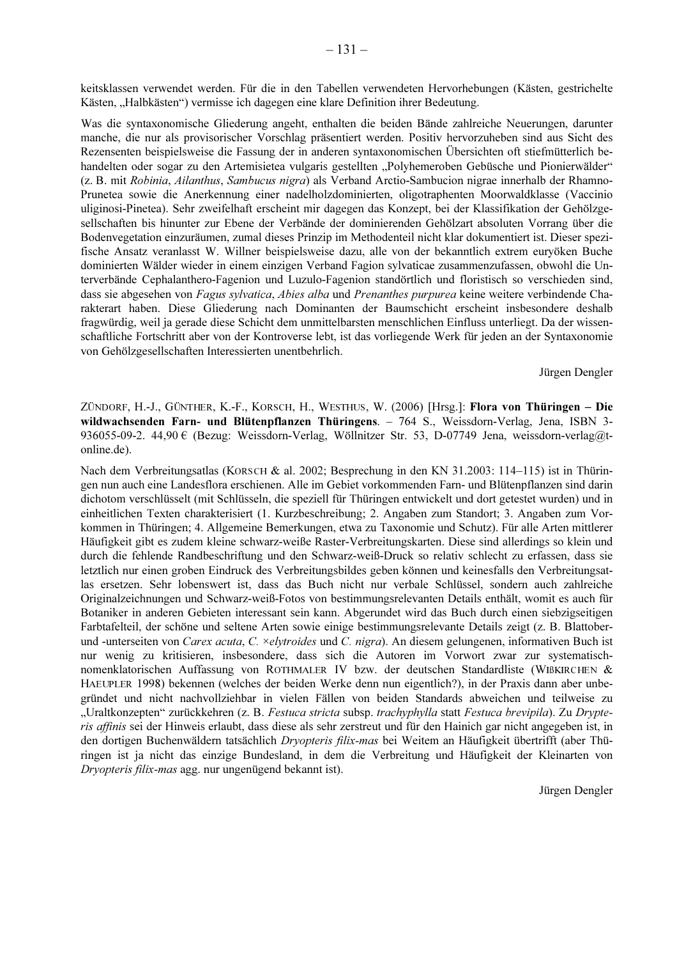keitsklassen verwendet werden. Für die in den Tabellen verwendeten Hervorhebungen (Kästen, gestrichelte Kästen, "Halbkästen") vermisse ich dagegen eine klare Definition ihrer Bedeutung.

Was die syntaxonomische Gliederung angeht, enthalten die beiden Bände zahlreiche Neuerungen, darunter manche, die nur als provisorischer Vorschlag präsentiert werden. Positiv hervorzuheben sind aus Sicht des Rezensenten beispielsweise die Fassung der in anderen syntaxonomischen Übersichten oft stiefmütterlich behandelten oder sogar zu den Artemisietea vulgaris gestellten "Polyhemeroben Gebüsche und Pionierwälder" (z. B. mit Robinia, Ailanthus, Sambucus nigra) als Verband Arctio-Sambucion nigrae innerhalb der Rhamno-Prunetea sowie die Anerkennung einer nadelholzdominierten, oligotraphenten Moorwaldklasse (Vaccinio uliginosi-Pinetea). Sehr zweifelhaft erscheint mir dagegen das Konzept, bei der Klassifikation der Gehölzgesellschaften bis hinunter zur Ebene der Verbände der dominierenden Gehölzart absoluten Vorrang über die Bodenvegetation einzuräumen, zumal dieses Prinzip im Methodenteil nicht klar dokumentiert ist. Dieser spezifische Ansatz veranlasst W. Willner beispielsweise dazu, alle von der bekanntlich extrem euryöken Buche dominierten Wälder wieder in einem einzigen Verband Fagion sylvaticae zusammenzufassen, obwohl die Unterverbände Cephalanthero-Fagenion und Luzulo-Fagenion standörtlich und floristisch so verschieden sind, dass sie abgesehen von Fagus sylvatica, Abies alba und Prenanthes purpurea keine weitere verbindende Charakterart haben. Diese Gliederung nach Dominanten der Baumschicht erscheint insbesondere deshalb fragwürdig, weil ja gerade diese Schicht dem unmittelbarsten menschlichen Einfluss unterliegt. Da der wissenschaftliche Fortschritt aber von der Kontroverse lebt, ist das vorliegende Werk für jeden an der Syntaxonomie von Gehölzgesellschaften Interessierten unentbehrlich.

Jürgen Dengler

ZÜNDORF, H.-J., GÜNTHER, K.-F., KORSCH, H., WESTHUS, W. (2006) [Hrsg.]: Flora von Thüringen - Die wildwachsenden Farn- und Blütenpflanzen Thüringens. - 764 S., Weissdorn-Verlag, Jena, ISBN 3-936055-09-2. 44,90 € (Bezug: Weissdorn-Verlag, Wöllnitzer Str. 53, D-07749 Jena, weissdorn-verlag@tonline.de).

Nach dem Verbreitungsatlas (KORSCH & al. 2002; Besprechung in den KN 31.2003: 114–115) ist in Thüringen nun auch eine Landesflora erschienen. Alle im Gebiet vorkommenden Farn- und Blütenpflanzen sind darin dichotom verschlüsselt (mit Schlüsseln, die speziell für Thüringen entwickelt und dort getestet wurden) und in einheitlichen Texten charakterisiert (1. Kurzbeschreibung; 2. Angaben zum Standort; 3. Angaben zum Vorkommen in Thüringen; 4. Allgemeine Bemerkungen, etwa zu Taxonomie und Schutz). Für alle Arten mittlerer Häufigkeit gibt es zudem kleine schwarz-weiße Raster-Verbreitungskarten. Diese sind allerdings so klein und durch die fehlende Randbeschriftung und den Schwarz-weiß-Druck so relativ schlecht zu erfassen, dass sie letztlich nur einen groben Eindruck des Verbreitungsbildes geben können und keinesfalls den Verbreitungsatlas ersetzen. Sehr lobenswert ist, dass das Buch nicht nur verbale Schlüssel, sondern auch zahlreiche Originalzeichnungen und Schwarz-weiß-Fotos von bestimmungsrelevanten Details enthält, womit es auch für Botaniker in anderen Gebieten interessant sein kann. Abgerundet wird das Buch durch einen siebzigseitigen Farbtafelteil, der schöne und seltene Arten sowie einige bestimmungsrelevante Details zeigt (z. B. Blattoberund -unterseiten von Carex acuta, C. ×elytroides und C. nigra). An diesem gelungenen, informativen Buch ist nur wenig zu kritisieren, insbesondere, dass sich die Autoren im Vorwort zwar zur systematischnomenklatorischen Auffassung von ROTHMALER IV bzw. der deutschen Standardliste (WIBKIRCHEN & HAEUPLER 1998) bekennen (welches der beiden Werke denn nun eigentlich?), in der Praxis dann aber unbegründet und nicht nachvollziehbar in vielen Fällen von beiden Standards abweichen und teilweise zu "Uraltkonzepten" zurückkehren (z. B. Festuca stricta subsp. trachyphylla statt Festuca brevipila). Zu Drypteris affinis sei der Hinweis erlaubt, dass diese als sehr zerstreut und für den Hainich gar nicht angegeben ist, in den dortigen Buchenwäldern tatsächlich Dryopteris filix-mas bei Weitem an Häufigkeit übertrifft (aber Thüringen ist ja nicht das einzige Bundesland, in dem die Verbreitung und Häufigkeit der Kleinarten von Dryopteris filix-mas agg. nur ungenügend bekannt ist).

Jürgen Dengler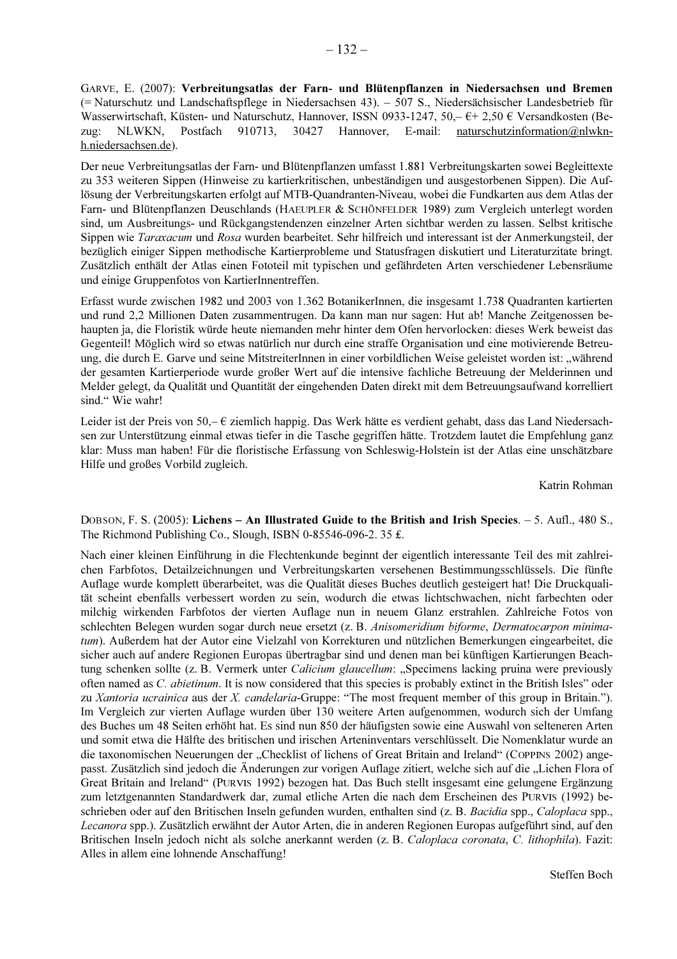GARVE, E. (2007): Verbreitungsatlas der Farn- und Blütenpflanzen in Niedersachsen und Bremen (= Naturschutz und Landschaftspflege in Niedersachsen 43). – 507 S., Niedersächsischer Landesbetrieb für Wasserwirtschaft, Küsten- und Naturschutz, Hannover, ISSN 0933-1247, 50, - €+ 2,50 € Versandkosten (Be-NLWKN. Postfach 910713. 30427 Hannover, E-mail: naturschutzinformation@nlwknzug: h.niedersachsen.de).

Der neue Verbreitungsatlas der Farn- und Blütenpflanzen umfasst 1.881 Verbreitungskarten sowei Begleittexte zu 353 weiteren Sippen (Hinweise zu kartierkritischen, unbeständigen und ausgestorbenen Sippen). Die Auflösung der Verbreitungskarten erfolgt auf MTB-Ouandranten-Niveau, wobei die Fundkarten aus dem Atlas der Farn- und Blütenpflanzen Deuschlands (HAEUPLER & SCHÖNFELDER 1989) zum Vergleich unterlegt worden sind, um Ausbreitungs- und Rückgangstendenzen einzelner Arten sichtbar werden zu lassen. Selbst kritische Sippen wie Taraxacum und Rosa wurden bearbeitet. Sehr hilfreich und interessant ist der Anmerkungsteil, der bezüglich einiger Sippen methodische Kartierprobleme und Statusfragen diskutiert und Literaturzitate bringt. Zusätzlich enthält der Atlas einen Fototeil mit typischen und gefährdeten Arten verschiedener Lebensräume und einige Gruppenfotos von KartierInnentreffen.

Erfasst wurde zwischen 1982 und 2003 von 1.362 BotanikerInnen, die insgesamt 1.738 Quadranten kartierten und rund 2,2 Millionen Daten zusammentrugen. Da kann man nur sagen: Hut ab! Manche Zeitgenossen behaupten ja, die Floristik würde heute niemanden mehr hinter dem Ofen hervorlocken: dieses Werk beweist das Gegenteil! Möglich wird so etwas natürlich nur durch eine straffe Organisation und eine motivierende Betreuung, die durch E. Garve und seine MitstreiterInnen in einer vorbildlichen Weise geleistet worden ist: "während der gesamten Kartierperiode wurde großer Wert auf die intensive fachliche Betreuung der Melderinnen und Melder gelegt, da Qualität und Quantität der eingehenden Daten direkt mit dem Betreuungsaufwand korrelliert sind." Wie wahr!

Leider ist der Preis von 50,-  $\epsilon$  ziemlich happig. Das Werk hätte es verdient gehabt, dass das Land Niedersachsen zur Unterstützung einmal etwas tiefer in die Tasche gegriffen hätte. Trotzdem lautet die Empfehlung ganz klar: Muss man haben! Für die floristische Erfassung von Schleswig-Holstein ist der Atlas eine unschätzbare Hilfe und großes Vorbild zugleich.

Katrin Rohman

DOBSON, F. S. (2005): Lichens – An Illustrated Guide to the British and Irish Species. – 5. Aufl., 480 S., The Richmond Publishing Co., Slough, ISBN 0-85546-096-2.35  $\pounds$ .

Nach einer kleinen Einführung in die Flechtenkunde beginnt der eigentlich interessante Teil des mit zahlreichen Farbfotos, Detailzeichnungen und Verbreitungskarten versehenen Bestimmungsschlüssels. Die fünfte Auflage wurde komplett überarbeitet, was die Qualität dieses Buches deutlich gesteigert hat! Die Druckqualität scheint ebenfalls verbessert worden zu sein, wodurch die etwas lichtschwachen, nicht farbechten oder milchig wirkenden Farbfotos der vierten Auflage nun in neuem Glanz erstrahlen. Zahlreiche Fotos von schlechten Belegen wurden sogar durch neue ersetzt (z. B. Anisomeridium biforme, Dermatocarpon minimatum). Außerdem hat der Autor eine Vielzahl von Korrekturen und nützlichen Bemerkungen eingearbeitet, die sicher auch auf andere Regionen Europas übertragbar sind und denen man bei künftigen Kartierungen Beachtung schenken sollte (z. B. Vermerk unter *Calicium glaucellum*: "Specimens lacking pruina were previously often named as C. abietinum. It is now considered that this species is probably extinct in the British Isles" oder zu Xantoria ucrainica aus der X. candelaria-Gruppe: "The most frequent member of this group in Britain."). Im Vergleich zur vierten Auflage wurden über 130 weitere Arten aufgenommen, wodurch sich der Umfang des Buches um 48 Seiten erhöht hat. Es sind nun 850 der häufigsten sowie eine Auswahl von selteneren Arten und somit etwa die Hälfte des britischen und irischen Arteninventars verschlüsselt. Die Nomenklatur wurde an die taxonomischen Neuerungen der "Checklist of lichens of Great Britain and Ireland" (COPPINS 2002) angepasst. Zusätzlich sind jedoch die Änderungen zur vorigen Auflage zitiert, welche sich auf die "Lichen Flora of Great Britain and Ireland" (PURVIS 1992) bezogen hat. Das Buch stellt insgesamt eine gelungene Ergänzung zum letztgenannten Standardwerk dar, zumal etliche Arten die nach dem Erscheinen des PURVIS (1992) beschrieben oder auf den Britischen Inseln gefunden wurden, enthalten sind (z. B. Bacidia spp., Caloplaca spp., Lecanora spp.). Zusätzlich erwähnt der Autor Arten, die in anderen Regionen Europas aufgeführt sind, auf den Britischen Inseln jedoch nicht als solche anerkannt werden (z. B. Caloplaca coronata, C. lithophila). Fazit: Alles in allem eine lohnende Anschaffung!